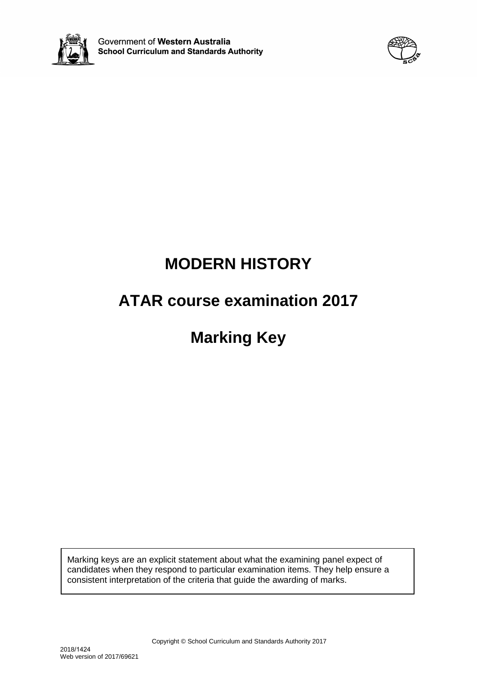



# **MODERN HISTORY**

# **ATAR course examination 2017**

# **Marking Key**

Marking keys are an explicit statement about what the examining panel expect of candidates when they respond to particular examination items. They help ensure a consistent interpretation of the criteria that guide the awarding of marks.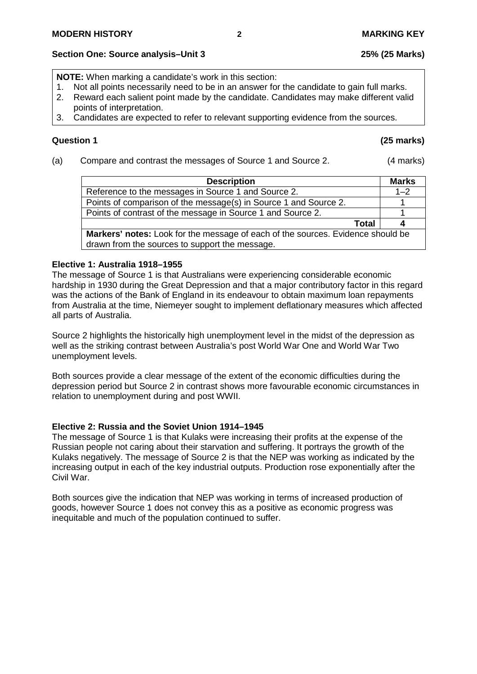# **Section One: Source analysis–Unit 3 25% (25 Marks)**

**NOTE:** When marking a candidate's work in this section:

- 1. Not all points necessarily need to be in an answer for the candidate to gain full marks.<br>2. Reward each salient point made by the candidate. Candidates may make different vali
- 2. Reward each salient point made by the candidate. Candidates may make different valid points of interpretation.
- 3. Candidates are expected to refer to relevant supporting evidence from the sources.

# **Question 1 (25 marks)**

(a) Compare and contrast the messages of Source 1 and Source 2. (4 marks)

| <b>Description</b>                                                                                                                | <b>Marks</b> |
|-----------------------------------------------------------------------------------------------------------------------------------|--------------|
| Reference to the messages in Source 1 and Source 2.                                                                               | $1 - 2$      |
| Points of comparison of the message(s) in Source 1 and Source 2.                                                                  |              |
| Points of contrast of the message in Source 1 and Source 2.                                                                       |              |
| Total                                                                                                                             |              |
| Markers' notes: Look for the message of each of the sources. Evidence should be<br>drawn from the sources to support the message. |              |

### **Elective 1: Australia 1918–1955**

The message of Source 1 is that Australians were experiencing considerable economic hardship in 1930 during the Great Depression and that a major contributory factor in this regard was the actions of the Bank of England in its endeavour to obtain maximum loan repayments from Australia at the time, Niemeyer sought to implement deflationary measures which affected all parts of Australia.

Source 2 highlights the historically high unemployment level in the midst of the depression as well as the striking contrast between Australia's post World War One and World War Two unemployment levels.

Both sources provide a clear message of the extent of the economic difficulties during the depression period but Source 2 in contrast shows more favourable economic circumstances in relation to unemployment during and post WWII.

# **Elective 2: Russia and the Soviet Union 1914–1945**

The message of Source 1 is that Kulaks were increasing their profits at the expense of the Russian people not caring about their starvation and suffering. It portrays the growth of the Kulaks negatively. The message of Source 2 is that the NEP was working as indicated by the increasing output in each of the key industrial outputs. Production rose exponentially after the Civil War.

Both sources give the indication that NEP was working in terms of increased production of goods, however Source 1 does not convey this as a positive as economic progress was inequitable and much of the population continued to suffer.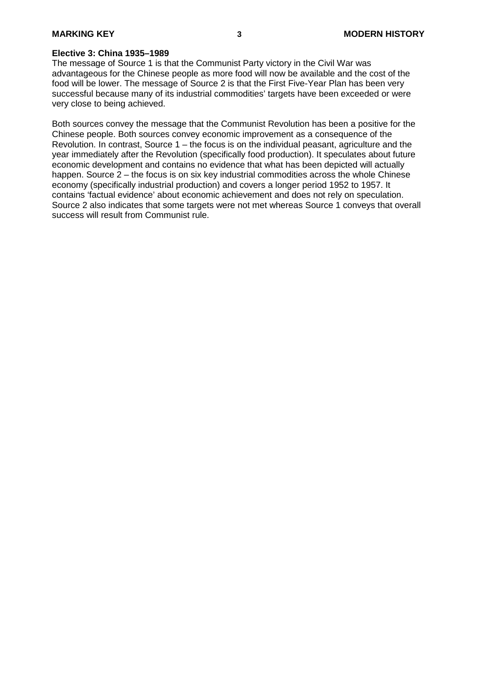#### **Elective 3: China 1935–1989**

The message of Source 1 is that the Communist Party victory in the Civil War was advantageous for the Chinese people as more food will now be available and the cost of the food will be lower. The message of Source 2 is that the First Five-Year Plan has been very successful because many of its industrial commodities' targets have been exceeded or were very close to being achieved.

Both sources convey the message that the Communist Revolution has been a positive for the Chinese people. Both sources convey economic improvement as a consequence of the Revolution. In contrast, Source 1 – the focus is on the individual peasant, agriculture and the year immediately after the Revolution (specifically food production). It speculates about future economic development and contains no evidence that what has been depicted will actually happen. Source 2 – the focus is on six key industrial commodities across the whole Chinese economy (specifically industrial production) and covers a longer period 1952 to 1957. It contains 'factual evidence' about economic achievement and does not rely on speculation. Source 2 also indicates that some targets were not met whereas Source 1 conveys that overall success will result from Communist rule.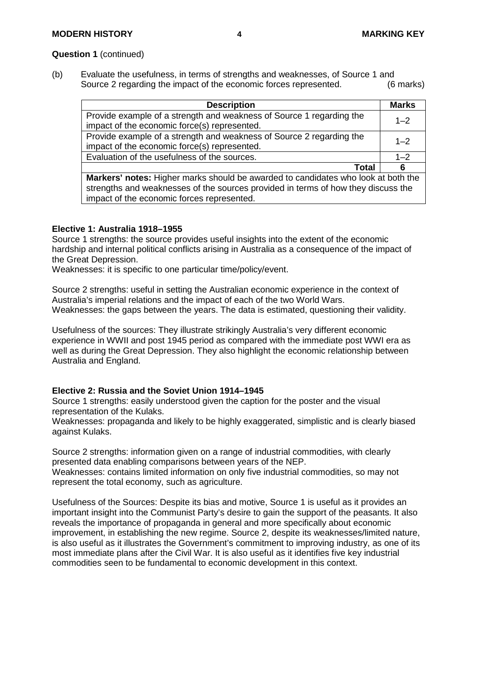#### **Question 1** (continued)

(b) Evaluate the usefulness, in terms of strengths and weaknesses, of Source 1 and<br>Source 2 regarding the impact of the economic forces represented. (6 marks) Source 2 regarding the impact of the economic forces represented.

| <b>Description</b>                                                                       | <b>Marks</b> |
|------------------------------------------------------------------------------------------|--------------|
| Provide example of a strength and weakness of Source 1 regarding the                     | $1 - 2$      |
| impact of the economic force(s) represented.                                             |              |
| Provide example of a strength and weakness of Source 2 regarding the                     | $1 - 2$      |
| impact of the economic force(s) represented.                                             |              |
| Evaluation of the usefulness of the sources.                                             | $1 - 2$      |
| Total                                                                                    | 6            |
| <b>Markers' notes:</b> Higher marks should be awarded to candidates who look at both the |              |
| strengths and weaknesses of the sources provided in terms of how they discuss the        |              |
| impact of the economic forces represented.                                               |              |

#### **Elective 1: Australia 1918–1955**

Source 1 strengths: the source provides useful insights into the extent of the economic hardship and internal political conflicts arising in Australia as a consequence of the impact of the Great Depression.

Weaknesses: it is specific to one particular time/policy/event.

Source 2 strengths: useful in setting the Australian economic experience in the context of Australia's imperial relations and the impact of each of the two World Wars. Weaknesses: the gaps between the years. The data is estimated, questioning their validity.

Usefulness of the sources: They illustrate strikingly Australia's very different economic experience in WWII and post 1945 period as compared with the immediate post WWI era as well as during the Great Depression. They also highlight the economic relationship between Australia and England.

### **Elective 2: Russia and the Soviet Union 1914–1945**

Source 1 strengths: easily understood given the caption for the poster and the visual representation of the Kulaks.

Weaknesses: propaganda and likely to be highly exaggerated, simplistic and is clearly biased against Kulaks.

Source 2 strengths: information given on a range of industrial commodities, with clearly presented data enabling comparisons between years of the NEP. Weaknesses: contains limited information on only five industrial commodities, so may not

represent the total economy, such as agriculture.

Usefulness of the Sources: Despite its bias and motive, Source 1 is useful as it provides an important insight into the Communist Party's desire to gain the support of the peasants. It also reveals the importance of propaganda in general and more specifically about economic improvement, in establishing the new regime. Source 2, despite its weaknesses/limited nature, is also useful as it illustrates the Government's commitment to improving industry, as one of its most immediate plans after the Civil War. It is also useful as it identifies five key industrial commodities seen to be fundamental to economic development in this context.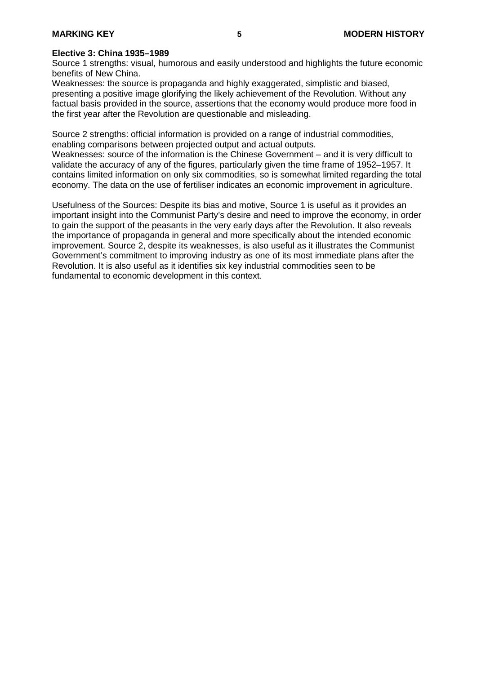#### **Elective 3: China 1935–1989**

Source 1 strengths: visual, humorous and easily understood and highlights the future economic benefits of New China.

Weaknesses: the source is propaganda and highly exaggerated, simplistic and biased, presenting a positive image glorifying the likely achievement of the Revolution. Without any factual basis provided in the source, assertions that the economy would produce more food in the first year after the Revolution are questionable and misleading.

Source 2 strengths: official information is provided on a range of industrial commodities, enabling comparisons between projected output and actual outputs.

Weaknesses: source of the information is the Chinese Government – and it is very difficult to validate the accuracy of any of the figures, particularly given the time frame of 1952–1957. It contains limited information on only six commodities, so is somewhat limited regarding the total economy. The data on the use of fertiliser indicates an economic improvement in agriculture.

Usefulness of the Sources: Despite its bias and motive, Source 1 is useful as it provides an important insight into the Communist Party's desire and need to improve the economy, in order to gain the support of the peasants in the very early days after the Revolution. It also reveals the importance of propaganda in general and more specifically about the intended economic improvement. Source 2, despite its weaknesses, is also useful as it illustrates the Communist Government's commitment to improving industry as one of its most immediate plans after the Revolution. It is also useful as it identifies six key industrial commodities seen to be fundamental to economic development in this context.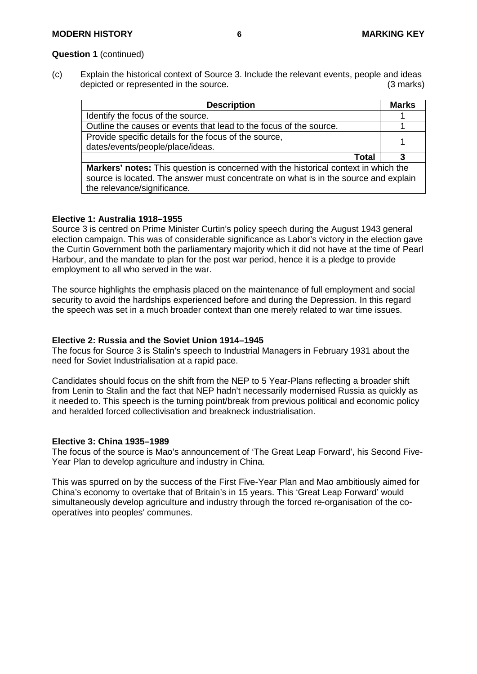#### **Question 1** (continued)

(c) Explain the historical context of Source 3. Include the relevant events, people and ideas<br>depicted or represented in the source. (3 marks) depicted or represented in the source.

| <b>Description</b>                                                                         | <b>Marks</b> |
|--------------------------------------------------------------------------------------------|--------------|
| Identify the focus of the source.                                                          |              |
| Outline the causes or events that lead to the focus of the source.                         |              |
| Provide specific details for the focus of the source,                                      |              |
| dates/events/people/place/ideas.                                                           |              |
| Total                                                                                      |              |
| <b>Markers' notes:</b> This question is concerned with the historical context in which the |              |
| source is located. The answer must concentrate on what is in the source and explain        |              |
| the relevance/significance.                                                                |              |

### **Elective 1: Australia 1918–1955**

Source 3 is centred on Prime Minister Curtin's policy speech during the August 1943 general election campaign. This was of considerable significance as Labor's victory in the election gave the Curtin Government both the parliamentary majority which it did not have at the time of Pearl Harbour, and the mandate to plan for the post war period, hence it is a pledge to provide employment to all who served in the war.

The source highlights the emphasis placed on the maintenance of full employment and social security to avoid the hardships experienced before and during the Depression. In this regard the speech was set in a much broader context than one merely related to war time issues.

#### **Elective 2: Russia and the Soviet Union 1914–1945**

The focus for Source 3 is Stalin's speech to Industrial Managers in February 1931 about the need for Soviet Industrialisation at a rapid pace.

Candidates should focus on the shift from the NEP to 5 Year-Plans reflecting a broader shift from Lenin to Stalin and the fact that NEP hadn't necessarily modernised Russia as quickly as it needed to. This speech is the turning point/break from previous political and economic policy and heralded forced collectivisation and breakneck industrialisation.

#### **Elective 3: China 1935–1989**

The focus of the source is Mao's announcement of 'The Great Leap Forward', his Second Five-Year Plan to develop agriculture and industry in China.

This was spurred on by the success of the First Five-Year Plan and Mao ambitiously aimed for China's economy to overtake that of Britain's in 15 years. This 'Great Leap Forward' would simultaneously develop agriculture and industry through the forced re-organisation of the cooperatives into peoples' communes.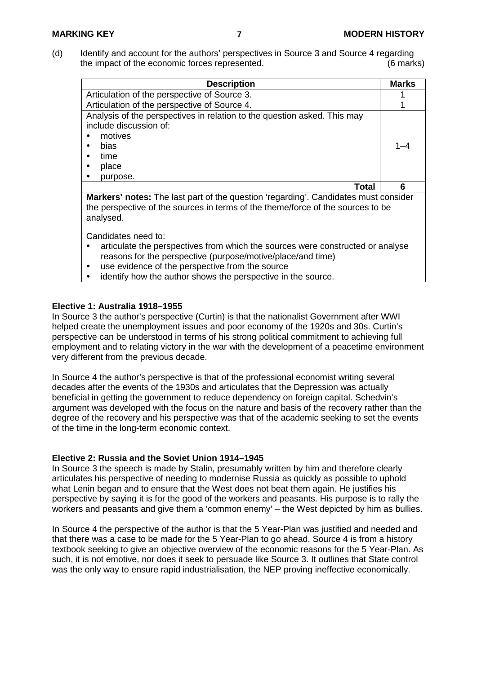(d) Identify and account for the authors' perspectives in Source 3 and Source 4 regarding the impact of the economic forces represented. (6 marks)

| <b>Description</b>                                                                                                                                                            | <b>Marks</b> |
|-------------------------------------------------------------------------------------------------------------------------------------------------------------------------------|--------------|
| Articulation of the perspective of Source 3.                                                                                                                                  |              |
| Articulation of the perspective of Source 4.                                                                                                                                  |              |
| Analysis of the perspectives in relation to the question asked. This may<br>include discussion of:<br>motives<br>bias<br>time<br>place<br>purpose.                            | 1–4          |
| Total                                                                                                                                                                         | 6            |
| <b>Markers' notes:</b> The last part of the question 'regarding'. Candidates must consider<br>the perspective of the sources in terms of the theme/force of the sources to be |              |

Candidates need to:

analysed.

- articulate the perspectives from which the sources were constructed or analyse reasons for the perspective (purpose/motive/place/and time)
- use evidence of the perspective from the source
- identify how the author shows the perspective in the source.

### **Elective 1: Australia 1918–1955**

In Source 3 the author's perspective (Curtin) is that the nationalist Government after WWI helped create the unemployment issues and poor economy of the 1920s and 30s. Curtin's perspective can be understood in terms of his strong political commitment to achieving full employment and to relating victory in the war with the development of a peacetime environment very different from the previous decade.

In Source 4 the author's perspective is that of the professional economist writing several decades after the events of the 1930s and articulates that the Depression was actually beneficial in getting the government to reduce dependency on foreign capital. Schedvin's argument was developed with the focus on the nature and basis of the recovery rather than the degree of the recovery and his perspective was that of the academic seeking to set the events of the time in the long-term economic context.

### **Elective 2: Russia and the Soviet Union 1914–1945**

In Source 3 the speech is made by Stalin, presumably written by him and therefore clearly articulates his perspective of needing to modernise Russia as quickly as possible to uphold what Lenin began and to ensure that the West does not beat them again. He justifies his perspective by saying it is for the good of the workers and peasants. His purpose is to rally the workers and peasants and give them a 'common enemy' – the West depicted by him as bullies.

In Source 4 the perspective of the author is that the 5 Year-Plan was justified and needed and that there was a case to be made for the 5 Year-Plan to go ahead. Source 4 is from a history textbook seeking to give an objective overview of the economic reasons for the 5 Year-Plan. As such, it is not emotive, nor does it seek to persuade like Source 3. It outlines that State control was the only way to ensure rapid industrialisation, the NEP proving ineffective economically.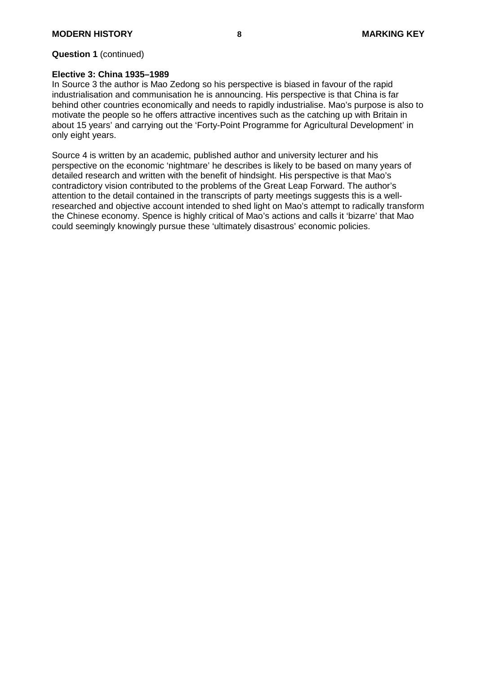#### **Question 1** (continued)

#### **Elective 3: China 1935–1989**

In Source 3 the author is Mao Zedong so his perspective is biased in favour of the rapid industrialisation and communisation he is announcing. His perspective is that China is far behind other countries economically and needs to rapidly industrialise. Mao's purpose is also to motivate the people so he offers attractive incentives such as the catching up with Britain in about 15 years' and carrying out the 'Forty-Point Programme for Agricultural Development' in only eight years.

Source 4 is written by an academic, published author and university lecturer and his perspective on the economic 'nightmare' he describes is likely to be based on many years of detailed research and written with the benefit of hindsight. His perspective is that Mao's contradictory vision contributed to the problems of the Great Leap Forward. The author's attention to the detail contained in the transcripts of party meetings suggests this is a wellresearched and objective account intended to shed light on Mao's attempt to radically transform the Chinese economy. Spence is highly critical of Mao's actions and calls it 'bizarre' that Mao could seemingly knowingly pursue these 'ultimately disastrous' economic policies.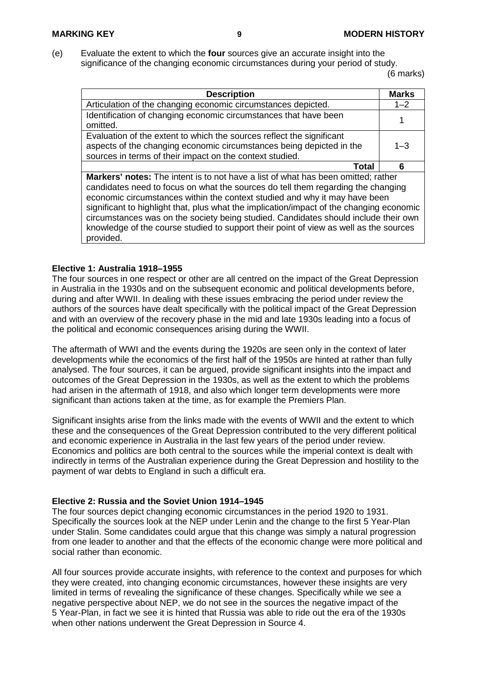(e) Evaluate the extent to which the **four** sources give an accurate insight into the significance of the changing economic circumstances during your period of study.

(6 marks)

| <b>Description</b>                                                                                                                                                                                                                                                                                                                                                                                                                                                                                                                                  | <b>Marks</b> |
|-----------------------------------------------------------------------------------------------------------------------------------------------------------------------------------------------------------------------------------------------------------------------------------------------------------------------------------------------------------------------------------------------------------------------------------------------------------------------------------------------------------------------------------------------------|--------------|
| Articulation of the changing economic circumstances depicted.                                                                                                                                                                                                                                                                                                                                                                                                                                                                                       | $1 - 2$      |
| Identification of changing economic circumstances that have been<br>omitted.                                                                                                                                                                                                                                                                                                                                                                                                                                                                        |              |
| Evaluation of the extent to which the sources reflect the significant                                                                                                                                                                                                                                                                                                                                                                                                                                                                               |              |
| aspects of the changing economic circumstances being depicted in the                                                                                                                                                                                                                                                                                                                                                                                                                                                                                | $1 - 3$      |
| sources in terms of their impact on the context studied.                                                                                                                                                                                                                                                                                                                                                                                                                                                                                            |              |
| <b>Total</b>                                                                                                                                                                                                                                                                                                                                                                                                                                                                                                                                        | 6            |
| <b>Markers' notes:</b> The intent is to not have a list of what has been omitted; rather<br>candidates need to focus on what the sources do tell them regarding the changing<br>economic circumstances within the context studied and why it may have been<br>significant to highlight that, plus what the implication/impact of the changing economic<br>circumstances was on the society being studied. Candidates should include their own<br>knowledge of the course studied to support their point of view as well as the sources<br>provided. |              |

### **Elective 1: Australia 1918–1955**

The four sources in one respect or other are all centred on the impact of the Great Depression in Australia in the 1930s and on the subsequent economic and political developments before, during and after WWII. In dealing with these issues embracing the period under review the authors of the sources have dealt specifically with the political impact of the Great Depression and with an overview of the recovery phase in the mid and late 1930s leading into a focus of the political and economic consequences arising during the WWII.

The aftermath of WWI and the events during the 1920s are seen only in the context of later developments while the economics of the first half of the 1950s are hinted at rather than fully analysed. The four sources, it can be argued, provide significant insights into the impact and outcomes of the Great Depression in the 1930s, as well as the extent to which the problems had arisen in the aftermath of 1918, and also which longer term developments were more significant than actions taken at the time, as for example the Premiers Plan.

Significant insights arise from the links made with the events of WWII and the extent to which these and the consequences of the Great Depression contributed to the very different political and economic experience in Australia in the last few years of the period under review. Economics and politics are both central to the sources while the imperial context is dealt with indirectly in terms of the Australian experience during the Great Depression and hostility to the payment of war debts to England in such a difficult era.

#### **Elective 2: Russia and the Soviet Union 1914–1945**

The four sources depict changing economic circumstances in the period 1920 to 1931. Specifically the sources look at the NEP under Lenin and the change to the first 5 Year-Plan under Stalin. Some candidates could argue that this change was simply a natural progression from one leader to another and that the effects of the economic change were more political and social rather than economic.

All four sources provide accurate insights, with reference to the context and purposes for which they were created, into changing economic circumstances, however these insights are very limited in terms of revealing the significance of these changes. Specifically while we see a negative perspective about NEP, we do not see in the sources the negative impact of the 5 Year-Plan, in fact we see it is hinted that Russia was able to ride out the era of the 1930s when other nations underwent the Great Depression in Source 4.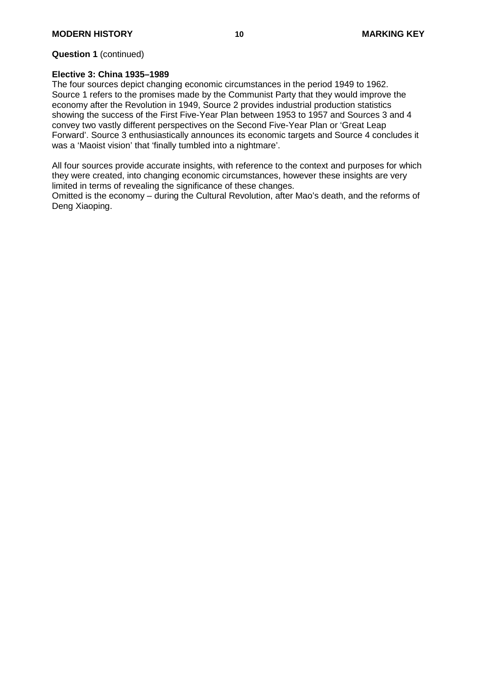#### **Question 1** (continued)

#### **Elective 3: China 1935–1989**

The four sources depict changing economic circumstances in the period 1949 to 1962. Source 1 refers to the promises made by the Communist Party that they would improve the economy after the Revolution in 1949, Source 2 provides industrial production statistics showing the success of the First Five-Year Plan between 1953 to 1957 and Sources 3 and 4 convey two vastly different perspectives on the Second Five-Year Plan or 'Great Leap Forward'. Source 3 enthusiastically announces its economic targets and Source 4 concludes it was a 'Maoist vision' that 'finally tumbled into a nightmare'.

All four sources provide accurate insights, with reference to the context and purposes for which they were created, into changing economic circumstances, however these insights are very limited in terms of revealing the significance of these changes.

Omitted is the economy – during the Cultural Revolution, after Mao's death, and the reforms of Deng Xiaoping.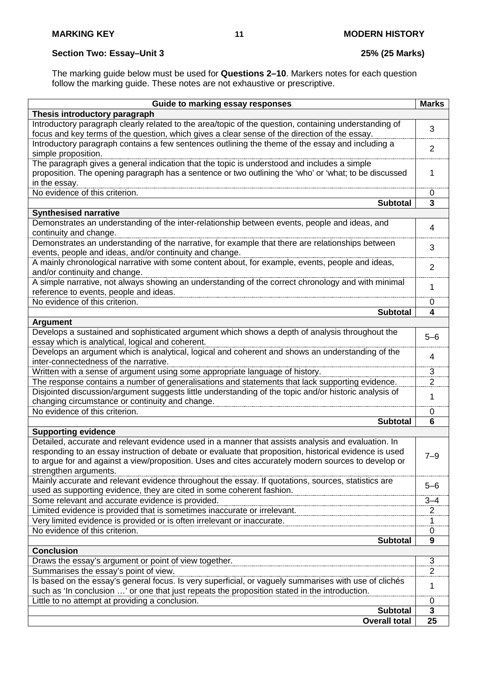### **Section Two: Essay–Unit 3 25% (25 Marks)**

The marking guide below must be used for **Questions 2–10**. Markers notes for each question follow the marking guide. These notes are not exhaustive or prescriptive.

| Thesis introductory paragraph<br>Introductory paragraph clearly related to the area/topic of the question, containing understanding of<br>3<br>focus and key terms of the question, which gives a clear sense of the direction of the essay.<br>Introductory paragraph contains a few sentences outlining the theme of the essay and including a<br>$\overline{2}$<br>simple proposition.<br>The paragraph gives a general indication that the topic is understood and includes a simple<br>proposition. The opening paragraph has a sentence or two outlining the 'who' or 'what; to be discussed<br>1<br>in the essay.<br>No evidence of this criterion.<br>0<br>3<br><b>Subtotal</b><br><b>Synthesised narrative</b><br>Demonstrates an understanding of the inter-relationship between events, people and ideas, and<br>4<br>continuity and change.<br>Demonstrates an understanding of the narrative, for example that there are relationships between<br>3<br>events, people and ideas, and/or continuity and change.<br>A mainly chronological narrative with some content about, for example, events, people and ideas,<br>$\overline{2}$<br>and/or continuity and change.<br>A simple narrative, not always showing an understanding of the correct chronology and with minimal<br>1<br>reference to events, people and ideas.<br>No evidence of this criterion.<br>0<br><b>Subtotal</b><br>4<br><b>Argument</b><br>Develops a sustained and sophisticated argument which shows a depth of analysis throughout the<br>$5 - 6$<br>essay which is analytical, logical and coherent.<br>Develops an argument which is analytical, logical and coherent and shows an understanding of the<br>4<br>inter-connectedness of the narrative.<br>3<br>Written with a sense of argument using some appropriate language of history.<br>$\overline{2}$<br>The response contains a number of generalisations and statements that lack supporting evidence.<br>Disjointed discussion/argument suggests little understanding of the topic and/or historic analysis of<br>1<br>changing circumstance or continuity and change.<br>No evidence of this criterion.<br>0<br><b>Subtotal</b><br>6<br><b>Supporting evidence</b><br>Detailed, accurate and relevant evidence used in a manner that assists analysis and evaluation. In<br>responding to an essay instruction of debate or evaluate that proposition, historical evidence is used<br>7–9<br>to argue for and against a view/proposition. Uses and cites accurately modern sources to develop or<br>strengthen arguments.<br>Mainly accurate and relevant evidence throughout the essay. If quotations, sources, statistics are<br>$5 - 6$<br>used as supporting evidence, they are cited in some coherent fashion.<br>Some relevant and accurate evidence is provided.<br>$3 - 4$<br>Limited evidence is provided that is sometimes inaccurate or irrelevant.<br>2<br>Very limited evidence is provided or is often irrelevant or inaccurate.<br>1<br>No evidence of this criterion.<br>0<br>9<br><b>Subtotal</b><br><b>Conclusion</b><br>Draws the essay's argument or point of view together.<br>$\overline{3}$<br>$\overline{2}$<br>Summarises the essay's point of view.<br>Is based on the essay's general focus. Is very superficial, or vaguely summarises with use of clichés<br>1<br>such as 'In conclusion ' or one that just repeats the proposition stated in the introduction.<br>Little to no attempt at providing a conclusion.<br>0<br><b>Subtotal</b><br>3<br><b>Overall total</b><br>25 | Guide to marking essay responses | <b>Marks</b> |
|--------------------------------------------------------------------------------------------------------------------------------------------------------------------------------------------------------------------------------------------------------------------------------------------------------------------------------------------------------------------------------------------------------------------------------------------------------------------------------------------------------------------------------------------------------------------------------------------------------------------------------------------------------------------------------------------------------------------------------------------------------------------------------------------------------------------------------------------------------------------------------------------------------------------------------------------------------------------------------------------------------------------------------------------------------------------------------------------------------------------------------------------------------------------------------------------------------------------------------------------------------------------------------------------------------------------------------------------------------------------------------------------------------------------------------------------------------------------------------------------------------------------------------------------------------------------------------------------------------------------------------------------------------------------------------------------------------------------------------------------------------------------------------------------------------------------------------------------------------------------------------------------------------------------------------------------------------------------------------------------------------------------------------------------------------------------------------------------------------------------------------------------------------------------------------------------------------------------------------------------------------------------------------------------------------------------------------------------------------------------------------------------------------------------------------------------------------------------------------------------------------------------------------------------------------------------------------------------------------------------------------------------------------------------------------------------------------------------------------------------------------------------------------------------------------------------------------------------------------------------------------------------------------------------------------------------------------------------------------------------------------------------------------------------------------------------------------------------------------------------------------------------------------------------------------------------------------------------------------------------------------------------------------------------------------------------------------------------------------------------------------------------------------------------------------------------------------------------------------------------------------------------------------------------------------------|----------------------------------|--------------|
|                                                                                                                                                                                                                                                                                                                                                                                                                                                                                                                                                                                                                                                                                                                                                                                                                                                                                                                                                                                                                                                                                                                                                                                                                                                                                                                                                                                                                                                                                                                                                                                                                                                                                                                                                                                                                                                                                                                                                                                                                                                                                                                                                                                                                                                                                                                                                                                                                                                                                                                                                                                                                                                                                                                                                                                                                                                                                                                                                                                                                                                                                                                                                                                                                                                                                                                                                                                                                                                                                                                                                              |                                  |              |
|                                                                                                                                                                                                                                                                                                                                                                                                                                                                                                                                                                                                                                                                                                                                                                                                                                                                                                                                                                                                                                                                                                                                                                                                                                                                                                                                                                                                                                                                                                                                                                                                                                                                                                                                                                                                                                                                                                                                                                                                                                                                                                                                                                                                                                                                                                                                                                                                                                                                                                                                                                                                                                                                                                                                                                                                                                                                                                                                                                                                                                                                                                                                                                                                                                                                                                                                                                                                                                                                                                                                                              |                                  |              |
|                                                                                                                                                                                                                                                                                                                                                                                                                                                                                                                                                                                                                                                                                                                                                                                                                                                                                                                                                                                                                                                                                                                                                                                                                                                                                                                                                                                                                                                                                                                                                                                                                                                                                                                                                                                                                                                                                                                                                                                                                                                                                                                                                                                                                                                                                                                                                                                                                                                                                                                                                                                                                                                                                                                                                                                                                                                                                                                                                                                                                                                                                                                                                                                                                                                                                                                                                                                                                                                                                                                                                              |                                  |              |
|                                                                                                                                                                                                                                                                                                                                                                                                                                                                                                                                                                                                                                                                                                                                                                                                                                                                                                                                                                                                                                                                                                                                                                                                                                                                                                                                                                                                                                                                                                                                                                                                                                                                                                                                                                                                                                                                                                                                                                                                                                                                                                                                                                                                                                                                                                                                                                                                                                                                                                                                                                                                                                                                                                                                                                                                                                                                                                                                                                                                                                                                                                                                                                                                                                                                                                                                                                                                                                                                                                                                                              |                                  |              |
|                                                                                                                                                                                                                                                                                                                                                                                                                                                                                                                                                                                                                                                                                                                                                                                                                                                                                                                                                                                                                                                                                                                                                                                                                                                                                                                                                                                                                                                                                                                                                                                                                                                                                                                                                                                                                                                                                                                                                                                                                                                                                                                                                                                                                                                                                                                                                                                                                                                                                                                                                                                                                                                                                                                                                                                                                                                                                                                                                                                                                                                                                                                                                                                                                                                                                                                                                                                                                                                                                                                                                              |                                  |              |
|                                                                                                                                                                                                                                                                                                                                                                                                                                                                                                                                                                                                                                                                                                                                                                                                                                                                                                                                                                                                                                                                                                                                                                                                                                                                                                                                                                                                                                                                                                                                                                                                                                                                                                                                                                                                                                                                                                                                                                                                                                                                                                                                                                                                                                                                                                                                                                                                                                                                                                                                                                                                                                                                                                                                                                                                                                                                                                                                                                                                                                                                                                                                                                                                                                                                                                                                                                                                                                                                                                                                                              |                                  |              |
|                                                                                                                                                                                                                                                                                                                                                                                                                                                                                                                                                                                                                                                                                                                                                                                                                                                                                                                                                                                                                                                                                                                                                                                                                                                                                                                                                                                                                                                                                                                                                                                                                                                                                                                                                                                                                                                                                                                                                                                                                                                                                                                                                                                                                                                                                                                                                                                                                                                                                                                                                                                                                                                                                                                                                                                                                                                                                                                                                                                                                                                                                                                                                                                                                                                                                                                                                                                                                                                                                                                                                              |                                  |              |
|                                                                                                                                                                                                                                                                                                                                                                                                                                                                                                                                                                                                                                                                                                                                                                                                                                                                                                                                                                                                                                                                                                                                                                                                                                                                                                                                                                                                                                                                                                                                                                                                                                                                                                                                                                                                                                                                                                                                                                                                                                                                                                                                                                                                                                                                                                                                                                                                                                                                                                                                                                                                                                                                                                                                                                                                                                                                                                                                                                                                                                                                                                                                                                                                                                                                                                                                                                                                                                                                                                                                                              |                                  |              |
|                                                                                                                                                                                                                                                                                                                                                                                                                                                                                                                                                                                                                                                                                                                                                                                                                                                                                                                                                                                                                                                                                                                                                                                                                                                                                                                                                                                                                                                                                                                                                                                                                                                                                                                                                                                                                                                                                                                                                                                                                                                                                                                                                                                                                                                                                                                                                                                                                                                                                                                                                                                                                                                                                                                                                                                                                                                                                                                                                                                                                                                                                                                                                                                                                                                                                                                                                                                                                                                                                                                                                              |                                  |              |
|                                                                                                                                                                                                                                                                                                                                                                                                                                                                                                                                                                                                                                                                                                                                                                                                                                                                                                                                                                                                                                                                                                                                                                                                                                                                                                                                                                                                                                                                                                                                                                                                                                                                                                                                                                                                                                                                                                                                                                                                                                                                                                                                                                                                                                                                                                                                                                                                                                                                                                                                                                                                                                                                                                                                                                                                                                                                                                                                                                                                                                                                                                                                                                                                                                                                                                                                                                                                                                                                                                                                                              |                                  |              |
|                                                                                                                                                                                                                                                                                                                                                                                                                                                                                                                                                                                                                                                                                                                                                                                                                                                                                                                                                                                                                                                                                                                                                                                                                                                                                                                                                                                                                                                                                                                                                                                                                                                                                                                                                                                                                                                                                                                                                                                                                                                                                                                                                                                                                                                                                                                                                                                                                                                                                                                                                                                                                                                                                                                                                                                                                                                                                                                                                                                                                                                                                                                                                                                                                                                                                                                                                                                                                                                                                                                                                              |                                  |              |
|                                                                                                                                                                                                                                                                                                                                                                                                                                                                                                                                                                                                                                                                                                                                                                                                                                                                                                                                                                                                                                                                                                                                                                                                                                                                                                                                                                                                                                                                                                                                                                                                                                                                                                                                                                                                                                                                                                                                                                                                                                                                                                                                                                                                                                                                                                                                                                                                                                                                                                                                                                                                                                                                                                                                                                                                                                                                                                                                                                                                                                                                                                                                                                                                                                                                                                                                                                                                                                                                                                                                                              |                                  |              |
|                                                                                                                                                                                                                                                                                                                                                                                                                                                                                                                                                                                                                                                                                                                                                                                                                                                                                                                                                                                                                                                                                                                                                                                                                                                                                                                                                                                                                                                                                                                                                                                                                                                                                                                                                                                                                                                                                                                                                                                                                                                                                                                                                                                                                                                                                                                                                                                                                                                                                                                                                                                                                                                                                                                                                                                                                                                                                                                                                                                                                                                                                                                                                                                                                                                                                                                                                                                                                                                                                                                                                              |                                  |              |
|                                                                                                                                                                                                                                                                                                                                                                                                                                                                                                                                                                                                                                                                                                                                                                                                                                                                                                                                                                                                                                                                                                                                                                                                                                                                                                                                                                                                                                                                                                                                                                                                                                                                                                                                                                                                                                                                                                                                                                                                                                                                                                                                                                                                                                                                                                                                                                                                                                                                                                                                                                                                                                                                                                                                                                                                                                                                                                                                                                                                                                                                                                                                                                                                                                                                                                                                                                                                                                                                                                                                                              |                                  |              |
|                                                                                                                                                                                                                                                                                                                                                                                                                                                                                                                                                                                                                                                                                                                                                                                                                                                                                                                                                                                                                                                                                                                                                                                                                                                                                                                                                                                                                                                                                                                                                                                                                                                                                                                                                                                                                                                                                                                                                                                                                                                                                                                                                                                                                                                                                                                                                                                                                                                                                                                                                                                                                                                                                                                                                                                                                                                                                                                                                                                                                                                                                                                                                                                                                                                                                                                                                                                                                                                                                                                                                              |                                  |              |
|                                                                                                                                                                                                                                                                                                                                                                                                                                                                                                                                                                                                                                                                                                                                                                                                                                                                                                                                                                                                                                                                                                                                                                                                                                                                                                                                                                                                                                                                                                                                                                                                                                                                                                                                                                                                                                                                                                                                                                                                                                                                                                                                                                                                                                                                                                                                                                                                                                                                                                                                                                                                                                                                                                                                                                                                                                                                                                                                                                                                                                                                                                                                                                                                                                                                                                                                                                                                                                                                                                                                                              |                                  |              |
|                                                                                                                                                                                                                                                                                                                                                                                                                                                                                                                                                                                                                                                                                                                                                                                                                                                                                                                                                                                                                                                                                                                                                                                                                                                                                                                                                                                                                                                                                                                                                                                                                                                                                                                                                                                                                                                                                                                                                                                                                                                                                                                                                                                                                                                                                                                                                                                                                                                                                                                                                                                                                                                                                                                                                                                                                                                                                                                                                                                                                                                                                                                                                                                                                                                                                                                                                                                                                                                                                                                                                              |                                  |              |
|                                                                                                                                                                                                                                                                                                                                                                                                                                                                                                                                                                                                                                                                                                                                                                                                                                                                                                                                                                                                                                                                                                                                                                                                                                                                                                                                                                                                                                                                                                                                                                                                                                                                                                                                                                                                                                                                                                                                                                                                                                                                                                                                                                                                                                                                                                                                                                                                                                                                                                                                                                                                                                                                                                                                                                                                                                                                                                                                                                                                                                                                                                                                                                                                                                                                                                                                                                                                                                                                                                                                                              |                                  |              |
|                                                                                                                                                                                                                                                                                                                                                                                                                                                                                                                                                                                                                                                                                                                                                                                                                                                                                                                                                                                                                                                                                                                                                                                                                                                                                                                                                                                                                                                                                                                                                                                                                                                                                                                                                                                                                                                                                                                                                                                                                                                                                                                                                                                                                                                                                                                                                                                                                                                                                                                                                                                                                                                                                                                                                                                                                                                                                                                                                                                                                                                                                                                                                                                                                                                                                                                                                                                                                                                                                                                                                              |                                  |              |
|                                                                                                                                                                                                                                                                                                                                                                                                                                                                                                                                                                                                                                                                                                                                                                                                                                                                                                                                                                                                                                                                                                                                                                                                                                                                                                                                                                                                                                                                                                                                                                                                                                                                                                                                                                                                                                                                                                                                                                                                                                                                                                                                                                                                                                                                                                                                                                                                                                                                                                                                                                                                                                                                                                                                                                                                                                                                                                                                                                                                                                                                                                                                                                                                                                                                                                                                                                                                                                                                                                                                                              |                                  |              |
|                                                                                                                                                                                                                                                                                                                                                                                                                                                                                                                                                                                                                                                                                                                                                                                                                                                                                                                                                                                                                                                                                                                                                                                                                                                                                                                                                                                                                                                                                                                                                                                                                                                                                                                                                                                                                                                                                                                                                                                                                                                                                                                                                                                                                                                                                                                                                                                                                                                                                                                                                                                                                                                                                                                                                                                                                                                                                                                                                                                                                                                                                                                                                                                                                                                                                                                                                                                                                                                                                                                                                              |                                  |              |
|                                                                                                                                                                                                                                                                                                                                                                                                                                                                                                                                                                                                                                                                                                                                                                                                                                                                                                                                                                                                                                                                                                                                                                                                                                                                                                                                                                                                                                                                                                                                                                                                                                                                                                                                                                                                                                                                                                                                                                                                                                                                                                                                                                                                                                                                                                                                                                                                                                                                                                                                                                                                                                                                                                                                                                                                                                                                                                                                                                                                                                                                                                                                                                                                                                                                                                                                                                                                                                                                                                                                                              |                                  |              |
|                                                                                                                                                                                                                                                                                                                                                                                                                                                                                                                                                                                                                                                                                                                                                                                                                                                                                                                                                                                                                                                                                                                                                                                                                                                                                                                                                                                                                                                                                                                                                                                                                                                                                                                                                                                                                                                                                                                                                                                                                                                                                                                                                                                                                                                                                                                                                                                                                                                                                                                                                                                                                                                                                                                                                                                                                                                                                                                                                                                                                                                                                                                                                                                                                                                                                                                                                                                                                                                                                                                                                              |                                  |              |
|                                                                                                                                                                                                                                                                                                                                                                                                                                                                                                                                                                                                                                                                                                                                                                                                                                                                                                                                                                                                                                                                                                                                                                                                                                                                                                                                                                                                                                                                                                                                                                                                                                                                                                                                                                                                                                                                                                                                                                                                                                                                                                                                                                                                                                                                                                                                                                                                                                                                                                                                                                                                                                                                                                                                                                                                                                                                                                                                                                                                                                                                                                                                                                                                                                                                                                                                                                                                                                                                                                                                                              |                                  |              |
|                                                                                                                                                                                                                                                                                                                                                                                                                                                                                                                                                                                                                                                                                                                                                                                                                                                                                                                                                                                                                                                                                                                                                                                                                                                                                                                                                                                                                                                                                                                                                                                                                                                                                                                                                                                                                                                                                                                                                                                                                                                                                                                                                                                                                                                                                                                                                                                                                                                                                                                                                                                                                                                                                                                                                                                                                                                                                                                                                                                                                                                                                                                                                                                                                                                                                                                                                                                                                                                                                                                                                              |                                  |              |
|                                                                                                                                                                                                                                                                                                                                                                                                                                                                                                                                                                                                                                                                                                                                                                                                                                                                                                                                                                                                                                                                                                                                                                                                                                                                                                                                                                                                                                                                                                                                                                                                                                                                                                                                                                                                                                                                                                                                                                                                                                                                                                                                                                                                                                                                                                                                                                                                                                                                                                                                                                                                                                                                                                                                                                                                                                                                                                                                                                                                                                                                                                                                                                                                                                                                                                                                                                                                                                                                                                                                                              |                                  |              |
|                                                                                                                                                                                                                                                                                                                                                                                                                                                                                                                                                                                                                                                                                                                                                                                                                                                                                                                                                                                                                                                                                                                                                                                                                                                                                                                                                                                                                                                                                                                                                                                                                                                                                                                                                                                                                                                                                                                                                                                                                                                                                                                                                                                                                                                                                                                                                                                                                                                                                                                                                                                                                                                                                                                                                                                                                                                                                                                                                                                                                                                                                                                                                                                                                                                                                                                                                                                                                                                                                                                                                              |                                  |              |
|                                                                                                                                                                                                                                                                                                                                                                                                                                                                                                                                                                                                                                                                                                                                                                                                                                                                                                                                                                                                                                                                                                                                                                                                                                                                                                                                                                                                                                                                                                                                                                                                                                                                                                                                                                                                                                                                                                                                                                                                                                                                                                                                                                                                                                                                                                                                                                                                                                                                                                                                                                                                                                                                                                                                                                                                                                                                                                                                                                                                                                                                                                                                                                                                                                                                                                                                                                                                                                                                                                                                                              |                                  |              |
|                                                                                                                                                                                                                                                                                                                                                                                                                                                                                                                                                                                                                                                                                                                                                                                                                                                                                                                                                                                                                                                                                                                                                                                                                                                                                                                                                                                                                                                                                                                                                                                                                                                                                                                                                                                                                                                                                                                                                                                                                                                                                                                                                                                                                                                                                                                                                                                                                                                                                                                                                                                                                                                                                                                                                                                                                                                                                                                                                                                                                                                                                                                                                                                                                                                                                                                                                                                                                                                                                                                                                              |                                  |              |
|                                                                                                                                                                                                                                                                                                                                                                                                                                                                                                                                                                                                                                                                                                                                                                                                                                                                                                                                                                                                                                                                                                                                                                                                                                                                                                                                                                                                                                                                                                                                                                                                                                                                                                                                                                                                                                                                                                                                                                                                                                                                                                                                                                                                                                                                                                                                                                                                                                                                                                                                                                                                                                                                                                                                                                                                                                                                                                                                                                                                                                                                                                                                                                                                                                                                                                                                                                                                                                                                                                                                                              |                                  |              |
|                                                                                                                                                                                                                                                                                                                                                                                                                                                                                                                                                                                                                                                                                                                                                                                                                                                                                                                                                                                                                                                                                                                                                                                                                                                                                                                                                                                                                                                                                                                                                                                                                                                                                                                                                                                                                                                                                                                                                                                                                                                                                                                                                                                                                                                                                                                                                                                                                                                                                                                                                                                                                                                                                                                                                                                                                                                                                                                                                                                                                                                                                                                                                                                                                                                                                                                                                                                                                                                                                                                                                              |                                  |              |
|                                                                                                                                                                                                                                                                                                                                                                                                                                                                                                                                                                                                                                                                                                                                                                                                                                                                                                                                                                                                                                                                                                                                                                                                                                                                                                                                                                                                                                                                                                                                                                                                                                                                                                                                                                                                                                                                                                                                                                                                                                                                                                                                                                                                                                                                                                                                                                                                                                                                                                                                                                                                                                                                                                                                                                                                                                                                                                                                                                                                                                                                                                                                                                                                                                                                                                                                                                                                                                                                                                                                                              |                                  |              |
|                                                                                                                                                                                                                                                                                                                                                                                                                                                                                                                                                                                                                                                                                                                                                                                                                                                                                                                                                                                                                                                                                                                                                                                                                                                                                                                                                                                                                                                                                                                                                                                                                                                                                                                                                                                                                                                                                                                                                                                                                                                                                                                                                                                                                                                                                                                                                                                                                                                                                                                                                                                                                                                                                                                                                                                                                                                                                                                                                                                                                                                                                                                                                                                                                                                                                                                                                                                                                                                                                                                                                              |                                  |              |
|                                                                                                                                                                                                                                                                                                                                                                                                                                                                                                                                                                                                                                                                                                                                                                                                                                                                                                                                                                                                                                                                                                                                                                                                                                                                                                                                                                                                                                                                                                                                                                                                                                                                                                                                                                                                                                                                                                                                                                                                                                                                                                                                                                                                                                                                                                                                                                                                                                                                                                                                                                                                                                                                                                                                                                                                                                                                                                                                                                                                                                                                                                                                                                                                                                                                                                                                                                                                                                                                                                                                                              |                                  |              |
|                                                                                                                                                                                                                                                                                                                                                                                                                                                                                                                                                                                                                                                                                                                                                                                                                                                                                                                                                                                                                                                                                                                                                                                                                                                                                                                                                                                                                                                                                                                                                                                                                                                                                                                                                                                                                                                                                                                                                                                                                                                                                                                                                                                                                                                                                                                                                                                                                                                                                                                                                                                                                                                                                                                                                                                                                                                                                                                                                                                                                                                                                                                                                                                                                                                                                                                                                                                                                                                                                                                                                              |                                  |              |
|                                                                                                                                                                                                                                                                                                                                                                                                                                                                                                                                                                                                                                                                                                                                                                                                                                                                                                                                                                                                                                                                                                                                                                                                                                                                                                                                                                                                                                                                                                                                                                                                                                                                                                                                                                                                                                                                                                                                                                                                                                                                                                                                                                                                                                                                                                                                                                                                                                                                                                                                                                                                                                                                                                                                                                                                                                                                                                                                                                                                                                                                                                                                                                                                                                                                                                                                                                                                                                                                                                                                                              |                                  |              |
|                                                                                                                                                                                                                                                                                                                                                                                                                                                                                                                                                                                                                                                                                                                                                                                                                                                                                                                                                                                                                                                                                                                                                                                                                                                                                                                                                                                                                                                                                                                                                                                                                                                                                                                                                                                                                                                                                                                                                                                                                                                                                                                                                                                                                                                                                                                                                                                                                                                                                                                                                                                                                                                                                                                                                                                                                                                                                                                                                                                                                                                                                                                                                                                                                                                                                                                                                                                                                                                                                                                                                              |                                  |              |
|                                                                                                                                                                                                                                                                                                                                                                                                                                                                                                                                                                                                                                                                                                                                                                                                                                                                                                                                                                                                                                                                                                                                                                                                                                                                                                                                                                                                                                                                                                                                                                                                                                                                                                                                                                                                                                                                                                                                                                                                                                                                                                                                                                                                                                                                                                                                                                                                                                                                                                                                                                                                                                                                                                                                                                                                                                                                                                                                                                                                                                                                                                                                                                                                                                                                                                                                                                                                                                                                                                                                                              |                                  |              |
|                                                                                                                                                                                                                                                                                                                                                                                                                                                                                                                                                                                                                                                                                                                                                                                                                                                                                                                                                                                                                                                                                                                                                                                                                                                                                                                                                                                                                                                                                                                                                                                                                                                                                                                                                                                                                                                                                                                                                                                                                                                                                                                                                                                                                                                                                                                                                                                                                                                                                                                                                                                                                                                                                                                                                                                                                                                                                                                                                                                                                                                                                                                                                                                                                                                                                                                                                                                                                                                                                                                                                              |                                  |              |
|                                                                                                                                                                                                                                                                                                                                                                                                                                                                                                                                                                                                                                                                                                                                                                                                                                                                                                                                                                                                                                                                                                                                                                                                                                                                                                                                                                                                                                                                                                                                                                                                                                                                                                                                                                                                                                                                                                                                                                                                                                                                                                                                                                                                                                                                                                                                                                                                                                                                                                                                                                                                                                                                                                                                                                                                                                                                                                                                                                                                                                                                                                                                                                                                                                                                                                                                                                                                                                                                                                                                                              |                                  |              |
|                                                                                                                                                                                                                                                                                                                                                                                                                                                                                                                                                                                                                                                                                                                                                                                                                                                                                                                                                                                                                                                                                                                                                                                                                                                                                                                                                                                                                                                                                                                                                                                                                                                                                                                                                                                                                                                                                                                                                                                                                                                                                                                                                                                                                                                                                                                                                                                                                                                                                                                                                                                                                                                                                                                                                                                                                                                                                                                                                                                                                                                                                                                                                                                                                                                                                                                                                                                                                                                                                                                                                              |                                  |              |
|                                                                                                                                                                                                                                                                                                                                                                                                                                                                                                                                                                                                                                                                                                                                                                                                                                                                                                                                                                                                                                                                                                                                                                                                                                                                                                                                                                                                                                                                                                                                                                                                                                                                                                                                                                                                                                                                                                                                                                                                                                                                                                                                                                                                                                                                                                                                                                                                                                                                                                                                                                                                                                                                                                                                                                                                                                                                                                                                                                                                                                                                                                                                                                                                                                                                                                                                                                                                                                                                                                                                                              |                                  |              |
|                                                                                                                                                                                                                                                                                                                                                                                                                                                                                                                                                                                                                                                                                                                                                                                                                                                                                                                                                                                                                                                                                                                                                                                                                                                                                                                                                                                                                                                                                                                                                                                                                                                                                                                                                                                                                                                                                                                                                                                                                                                                                                                                                                                                                                                                                                                                                                                                                                                                                                                                                                                                                                                                                                                                                                                                                                                                                                                                                                                                                                                                                                                                                                                                                                                                                                                                                                                                                                                                                                                                                              |                                  |              |
|                                                                                                                                                                                                                                                                                                                                                                                                                                                                                                                                                                                                                                                                                                                                                                                                                                                                                                                                                                                                                                                                                                                                                                                                                                                                                                                                                                                                                                                                                                                                                                                                                                                                                                                                                                                                                                                                                                                                                                                                                                                                                                                                                                                                                                                                                                                                                                                                                                                                                                                                                                                                                                                                                                                                                                                                                                                                                                                                                                                                                                                                                                                                                                                                                                                                                                                                                                                                                                                                                                                                                              |                                  |              |
|                                                                                                                                                                                                                                                                                                                                                                                                                                                                                                                                                                                                                                                                                                                                                                                                                                                                                                                                                                                                                                                                                                                                                                                                                                                                                                                                                                                                                                                                                                                                                                                                                                                                                                                                                                                                                                                                                                                                                                                                                                                                                                                                                                                                                                                                                                                                                                                                                                                                                                                                                                                                                                                                                                                                                                                                                                                                                                                                                                                                                                                                                                                                                                                                                                                                                                                                                                                                                                                                                                                                                              |                                  |              |
|                                                                                                                                                                                                                                                                                                                                                                                                                                                                                                                                                                                                                                                                                                                                                                                                                                                                                                                                                                                                                                                                                                                                                                                                                                                                                                                                                                                                                                                                                                                                                                                                                                                                                                                                                                                                                                                                                                                                                                                                                                                                                                                                                                                                                                                                                                                                                                                                                                                                                                                                                                                                                                                                                                                                                                                                                                                                                                                                                                                                                                                                                                                                                                                                                                                                                                                                                                                                                                                                                                                                                              |                                  |              |
|                                                                                                                                                                                                                                                                                                                                                                                                                                                                                                                                                                                                                                                                                                                                                                                                                                                                                                                                                                                                                                                                                                                                                                                                                                                                                                                                                                                                                                                                                                                                                                                                                                                                                                                                                                                                                                                                                                                                                                                                                                                                                                                                                                                                                                                                                                                                                                                                                                                                                                                                                                                                                                                                                                                                                                                                                                                                                                                                                                                                                                                                                                                                                                                                                                                                                                                                                                                                                                                                                                                                                              |                                  |              |
|                                                                                                                                                                                                                                                                                                                                                                                                                                                                                                                                                                                                                                                                                                                                                                                                                                                                                                                                                                                                                                                                                                                                                                                                                                                                                                                                                                                                                                                                                                                                                                                                                                                                                                                                                                                                                                                                                                                                                                                                                                                                                                                                                                                                                                                                                                                                                                                                                                                                                                                                                                                                                                                                                                                                                                                                                                                                                                                                                                                                                                                                                                                                                                                                                                                                                                                                                                                                                                                                                                                                                              |                                  |              |
|                                                                                                                                                                                                                                                                                                                                                                                                                                                                                                                                                                                                                                                                                                                                                                                                                                                                                                                                                                                                                                                                                                                                                                                                                                                                                                                                                                                                                                                                                                                                                                                                                                                                                                                                                                                                                                                                                                                                                                                                                                                                                                                                                                                                                                                                                                                                                                                                                                                                                                                                                                                                                                                                                                                                                                                                                                                                                                                                                                                                                                                                                                                                                                                                                                                                                                                                                                                                                                                                                                                                                              |                                  |              |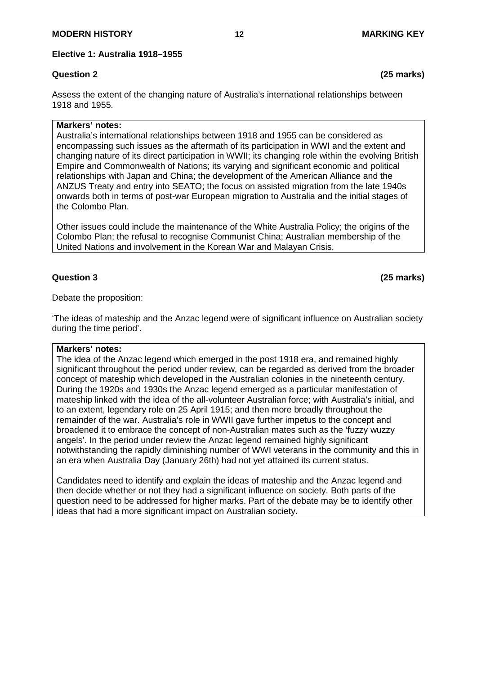**Elective 1: Australia 1918–1955**

# **Question 2 (25 marks)**

Assess the extent of the changing nature of Australia's international relationships between 1918 and 1955.

### **Markers' notes:**

Australia's international relationships between 1918 and 1955 can be considered as encompassing such issues as the aftermath of its participation in WWI and the extent and changing nature of its direct participation in WWII; its changing role within the evolving British Empire and Commonwealth of Nations; its varying and significant economic and political relationships with Japan and China; the development of the American Alliance and the ANZUS Treaty and entry into SEATO; the focus on assisted migration from the late 1940s onwards both in terms of post-war European migration to Australia and the initial stages of the Colombo Plan.

Other issues could include the maintenance of the White Australia Policy; the origins of the Colombo Plan; the refusal to recognise Communist China; Australian membership of the United Nations and involvement in the Korean War and Malayan Crisis.

# **Question 3 (25 marks)**

Debate the proposition:

'The ideas of mateship and the Anzac legend were of significant influence on Australian society during the time period'.

### **Markers' notes:**

The idea of the Anzac legend which emerged in the post 1918 era, and remained highly significant throughout the period under review, can be regarded as derived from the broader concept of mateship which developed in the Australian colonies in the nineteenth century. During the 1920s and 1930s the Anzac legend emerged as a particular manifestation of mateship linked with the idea of the all-volunteer Australian force; with Australia's initial, and to an extent, legendary role on 25 April 1915; and then more broadly throughout the remainder of the war. Australia's role in WWII gave further impetus to the concept and broadened it to embrace the concept of non-Australian mates such as the 'fuzzy wuzzy angels'. In the period under review the Anzac legend remained highly significant notwithstanding the rapidly diminishing number of WWI veterans in the community and this in an era when Australia Day (January 26th) had not yet attained its current status.

Candidates need to identify and explain the ideas of mateship and the Anzac legend and then decide whether or not they had a significant influence on society. Both parts of the question need to be addressed for higher marks. Part of the debate may be to identify other ideas that had a more significant impact on Australian society.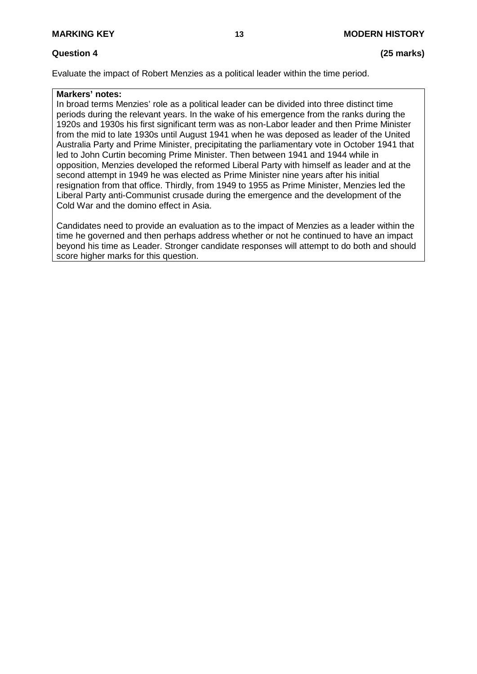# **Question 4 (25 marks)**

Evaluate the impact of Robert Menzies as a political leader within the time period.

## **Markers' notes:**

In broad terms Menzies' role as a political leader can be divided into three distinct time periods during the relevant years. In the wake of his emergence from the ranks during the 1920s and 1930s his first significant term was as non-Labor leader and then Prime Minister from the mid to late 1930s until August 1941 when he was deposed as leader of the United Australia Party and Prime Minister, precipitating the parliamentary vote in October 1941 that led to John Curtin becoming Prime Minister. Then between 1941 and 1944 while in opposition, Menzies developed the reformed Liberal Party with himself as leader and at the second attempt in 1949 he was elected as Prime Minister nine years after his initial resignation from that office. Thirdly, from 1949 to 1955 as Prime Minister, Menzies led the Liberal Party anti-Communist crusade during the emergence and the development of the Cold War and the domino effect in Asia.

Candidates need to provide an evaluation as to the impact of Menzies as a leader within the time he governed and then perhaps address whether or not he continued to have an impact beyond his time as Leader. Stronger candidate responses will attempt to do both and should score higher marks for this question.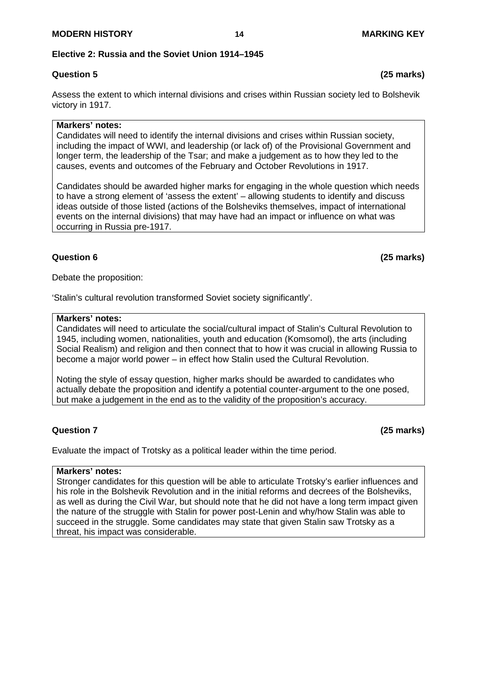### **Elective 2: Russia and the Soviet Union 1914–1945**

# **Question 5 (25 marks)**

Assess the extent to which internal divisions and crises within Russian society led to Bolshevik victory in 1917.

### **Markers' notes:**

Candidates will need to identify the internal divisions and crises within Russian society, including the impact of WWI, and leadership (or lack of) of the Provisional Government and longer term, the leadership of the Tsar; and make a judgement as to how they led to the causes, events and outcomes of the February and October Revolutions in 1917.

Candidates should be awarded higher marks for engaging in the whole question which needs to have a strong element of 'assess the extent' – allowing students to identify and discuss ideas outside of those listed (actions of the Bolsheviks themselves, impact of international events on the internal divisions) that may have had an impact or influence on what was occurring in Russia pre-1917.

### **Question 6 (25 marks)**

Debate the proposition:

'Stalin's cultural revolution transformed Soviet society significantly'.

#### **Markers' notes:**

Candidates will need to articulate the social/cultural impact of Stalin's Cultural Revolution to 1945, including women, nationalities, youth and education (Komsomol), the arts (including Social Realism) and religion and then connect that to how it was crucial in allowing Russia to become a major world power – in effect how Stalin used the Cultural Revolution.

Noting the style of essay question, higher marks should be awarded to candidates who actually debate the proposition and identify a potential counter-argument to the one posed, but make a judgement in the end as to the validity of the proposition's accuracy.

# **Question 7 (25 marks)**

Evaluate the impact of Trotsky as a political leader within the time period.

#### **Markers' notes:**

Stronger candidates for this question will be able to articulate Trotsky's earlier influences and his role in the Bolshevik Revolution and in the initial reforms and decrees of the Bolsheviks, as well as during the Civil War, but should note that he did not have a long term impact given the nature of the struggle with Stalin for power post-Lenin and why/how Stalin was able to succeed in the struggle. Some candidates may state that given Stalin saw Trotsky as a threat, his impact was considerable.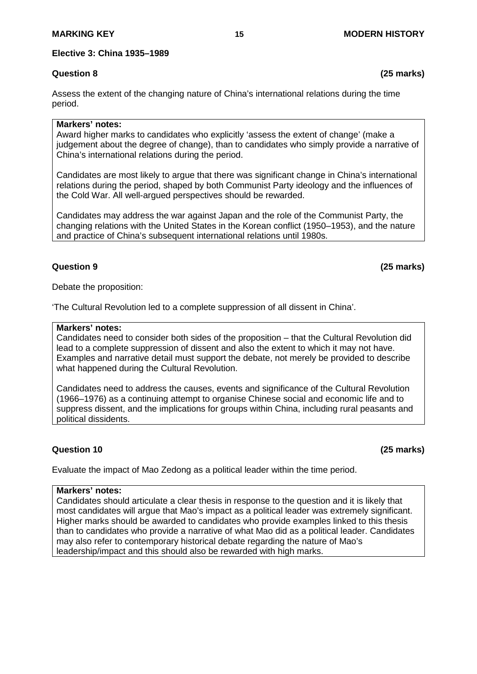**Elective 3: China 1935–1989**

Assess the extent of the changing nature of China's international relations during the time period.

### **Markers' notes:**

Award higher marks to candidates who explicitly 'assess the extent of change' (make a judgement about the degree of change), than to candidates who simply provide a narrative of China's international relations during the period.

Candidates are most likely to argue that there was significant change in China's international relations during the period, shaped by both Communist Party ideology and the influences of the Cold War. All well-argued perspectives should be rewarded.

Candidates may address the war against Japan and the role of the Communist Party, the changing relations with the United States in the Korean conflict (1950–1953), and the nature and practice of China's subsequent international relations until 1980s.

# **Question 9 (25 marks)**

Debate the proposition:

'The Cultural Revolution led to a complete suppression of all dissent in China'.

#### **Markers' notes:**

Candidates need to consider both sides of the proposition – that the Cultural Revolution did lead to a complete suppression of dissent and also the extent to which it may not have. Examples and narrative detail must support the debate, not merely be provided to describe what happened during the Cultural Revolution.

Candidates need to address the causes, events and significance of the Cultural Revolution (1966–1976) as a continuing attempt to organise Chinese social and economic life and to suppress dissent, and the implications for groups within China, including rural peasants and political dissidents.

# **Question 10 (25 marks)**

Evaluate the impact of Mao Zedong as a political leader within the time period.

#### **Markers' notes:**

Candidates should articulate a clear thesis in response to the question and it is likely that most candidates will argue that Mao's impact as a political leader was extremely significant. Higher marks should be awarded to candidates who provide examples linked to this thesis than to candidates who provide a narrative of what Mao did as a political leader. Candidates may also refer to contemporary historical debate regarding the nature of Mao's leadership/impact and this should also be rewarded with high marks.

**Question 8 (25 marks)**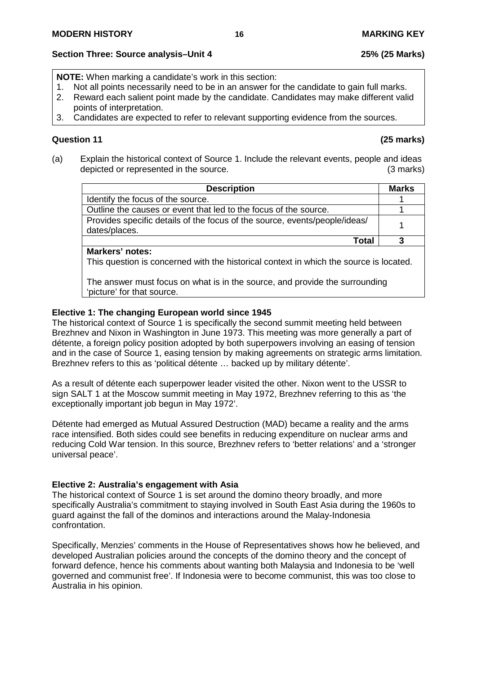# **Section Three: Source analysis–Unit 4 25% (25 Marks)**

**NOTE:** When marking a candidate's work in this section:

- 1. Not all points necessarily need to be in an answer for the candidate to gain full marks.<br>2. Reward each salient point made by the candidate. Candidates may make different vali
- 2. Reward each salient point made by the candidate. Candidates may make different valid points of interpretation.
- 3. Candidates are expected to refer to relevant supporting evidence from the sources.

# **Question 11 (25 marks)**

(a) Explain the historical context of Source 1. Include the relevant events, people and ideas depicted or represented in the source. (3 marks)

| <b>Description</b>                                                                          | <b>Marks</b> |
|---------------------------------------------------------------------------------------------|--------------|
| Identify the focus of the source.                                                           |              |
| Outline the causes or event that led to the focus of the source.                            |              |
| Provides specific details of the focus of the source, events/people/ideas/<br>dates/places. |              |
| Total                                                                                       |              |

# **Markers' notes:**

This question is concerned with the historical context in which the source is located.

The answer must focus on what is in the source, and provide the surrounding 'picture' for that source.

# **Elective 1: The changing European world since 1945**

The historical context of Source 1 is specifically the second summit meeting held between Brezhnev and Nixon in Washington in June 1973. This meeting was more generally a part of détente, a foreign policy position adopted by both superpowers involving an easing of tension and in the case of Source 1, easing tension by making agreements on strategic arms limitation. Brezhnev refers to this as 'political détente … backed up by military détente'.

As a result of détente each superpower leader visited the other. Nixon went to the USSR to sign SALT 1 at the Moscow summit meeting in May 1972, Brezhnev referring to this as 'the exceptionally important job begun in May 1972'.

Détente had emerged as Mutual Assured Destruction (MAD) became a reality and the arms race intensified. Both sides could see benefits in reducing expenditure on nuclear arms and reducing Cold War tension. In this source, Brezhnev refers to 'better relations' and a 'stronger universal peace'.

# **Elective 2: Australia's engagement with Asia**

The historical context of Source 1 is set around the domino theory broadly, and more specifically Australia's commitment to staying involved in South East Asia during the 1960s to guard against the fall of the dominos and interactions around the Malay-Indonesia confrontation.

Specifically, Menzies' comments in the House of Representatives shows how he believed, and developed Australian policies around the concepts of the domino theory and the concept of forward defence, hence his comments about wanting both Malaysia and Indonesia to be 'well governed and communist free'. If Indonesia were to become communist, this was too close to Australia in his opinion.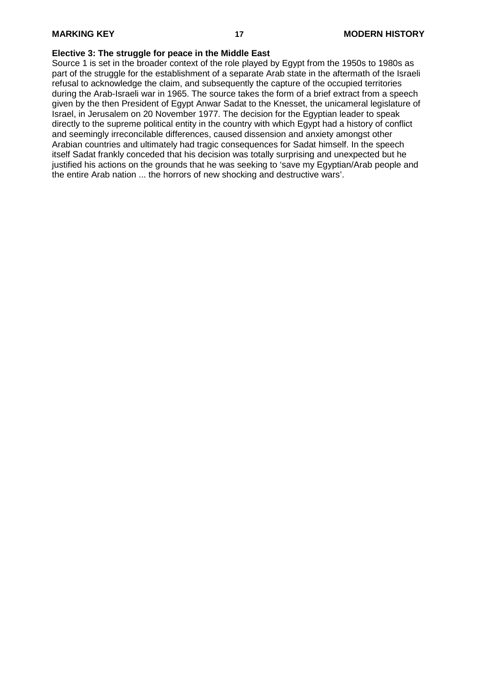#### **Elective 3: The struggle for peace in the Middle East**

Source 1 is set in the broader context of the role played by Egypt from the 1950s to 1980s as part of the struggle for the establishment of a separate Arab state in the aftermath of the Israeli refusal to acknowledge the claim, and subsequently the capture of the occupied territories during the Arab-Israeli war in 1965. The source takes the form of a brief extract from a speech given by the then President of Egypt Anwar Sadat to the Knesset, the unicameral legislature of Israel, in Jerusalem on 20 November 1977. The decision for the Egyptian leader to speak directly to the supreme political entity in the country with which Egypt had a history of conflict and seemingly irreconcilable differences, caused dissension and anxiety amongst other Arabian countries and ultimately had tragic consequences for Sadat himself. In the speech itself Sadat frankly conceded that his decision was totally surprising and unexpected but he justified his actions on the grounds that he was seeking to 'save my Egyptian/Arab people and the entire Arab nation ... the horrors of new shocking and destructive wars'.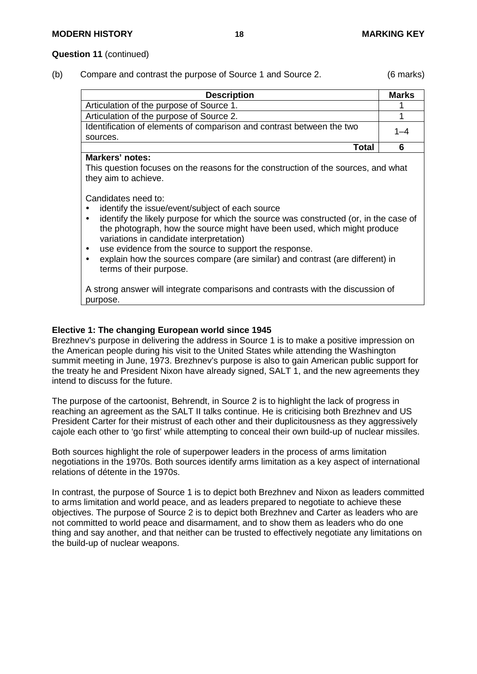#### **Question 11** (continued)

(b) Compare and contrast the purpose of Source 1 and Source 2. (6 marks)

| <b>Description</b>                                                    | <b>Marks</b> |
|-----------------------------------------------------------------------|--------------|
| Articulation of the purpose of Source 1.                              |              |
| Articulation of the purpose of Source 2.                              |              |
| Identification of elements of comparison and contrast between the two |              |
| sources.                                                              |              |
| Total                                                                 |              |

#### **Markers' notes:**

This question focuses on the reasons for the construction of the sources, and what they aim to achieve.

Candidates need to:

- identify the issue/event/subject of each source<br>• identify the likely purpose for which the source
- identify the likely purpose for which the source was constructed (or, in the case of the photograph, how the source might have been used, which might produce variations in candidate interpretation)
- use evidence from the source to support the response.
- explain how the sources compare (are similar) and contrast (are different) in terms of their purpose.

A strong answer will integrate comparisons and contrasts with the discussion of purpose.

### **Elective 1: The changing European world since 1945**

Brezhnev's purpose in delivering the address in Source 1 is to make a positive impression on the American people during his visit to the United States while attending the Washington summit meeting in June, 1973. Brezhnev's purpose is also to gain American public support for the treaty he and President Nixon have already signed, SALT 1, and the new agreements they intend to discuss for the future.

The purpose of the cartoonist, Behrendt, in Source 2 is to highlight the lack of progress in reaching an agreement as the SALT II talks continue. He is criticising both Brezhnev and US President Carter for their mistrust of each other and their duplicitousness as they aggressively cajole each other to 'go first' while attempting to conceal their own build-up of nuclear missiles.

Both sources highlight the role of superpower leaders in the process of arms limitation negotiations in the 1970s. Both sources identify arms limitation as a key aspect of international relations of détente in the 1970s.

In contrast, the purpose of Source 1 is to depict both Brezhnev and Nixon as leaders committed to arms limitation and world peace, and as leaders prepared to negotiate to achieve these objectives. The purpose of Source 2 is to depict both Brezhnev and Carter as leaders who are not committed to world peace and disarmament, and to show them as leaders who do one thing and say another, and that neither can be trusted to effectively negotiate any limitations on the build-up of nuclear weapons.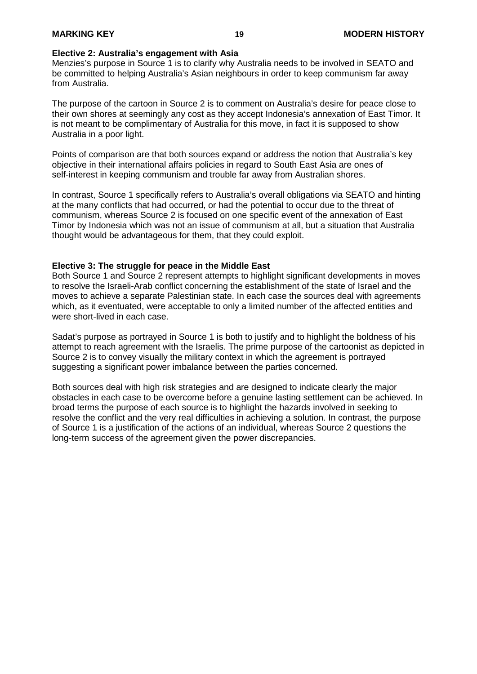#### **Elective 2: Australia's engagement with Asia**

Menzies's purpose in Source 1 is to clarify why Australia needs to be involved in SEATO and be committed to helping Australia's Asian neighbours in order to keep communism far away from Australia.

The purpose of the cartoon in Source 2 is to comment on Australia's desire for peace close to their own shores at seemingly any cost as they accept Indonesia's annexation of East Timor. It is not meant to be complimentary of Australia for this move, in fact it is supposed to show Australia in a poor light.

Points of comparison are that both sources expand or address the notion that Australia's key objective in their international affairs policies in regard to South East Asia are ones of self-interest in keeping communism and trouble far away from Australian shores.

In contrast, Source 1 specifically refers to Australia's overall obligations via SEATO and hinting at the many conflicts that had occurred, or had the potential to occur due to the threat of communism, whereas Source 2 is focused on one specific event of the annexation of East Timor by Indonesia which was not an issue of communism at all, but a situation that Australia thought would be advantageous for them, that they could exploit.

#### **Elective 3: The struggle for peace in the Middle East**

Both Source 1 and Source 2 represent attempts to highlight significant developments in moves to resolve the Israeli-Arab conflict concerning the establishment of the state of Israel and the moves to achieve a separate Palestinian state. In each case the sources deal with agreements which, as it eventuated, were acceptable to only a limited number of the affected entities and were short-lived in each case.

Sadat's purpose as portrayed in Source 1 is both to justify and to highlight the boldness of his attempt to reach agreement with the Israelis. The prime purpose of the cartoonist as depicted in Source 2 is to convey visually the military context in which the agreement is portrayed suggesting a significant power imbalance between the parties concerned.

Both sources deal with high risk strategies and are designed to indicate clearly the major obstacles in each case to be overcome before a genuine lasting settlement can be achieved. In broad terms the purpose of each source is to highlight the hazards involved in seeking to resolve the conflict and the very real difficulties in achieving a solution. In contrast, the purpose of Source 1 is a justification of the actions of an individual, whereas Source 2 questions the long-term success of the agreement given the power discrepancies.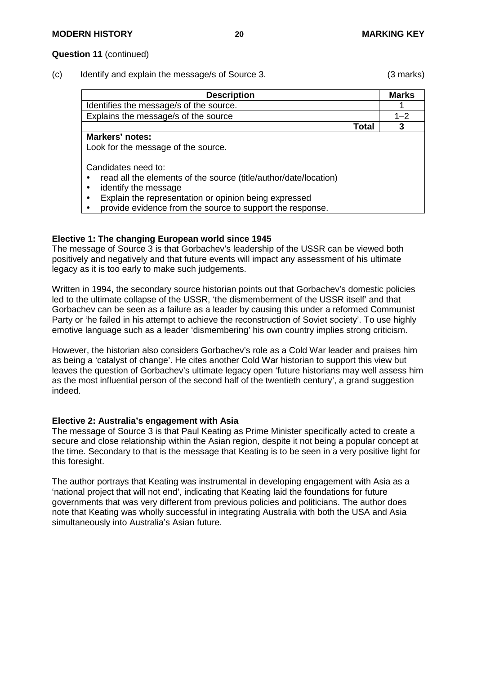#### **Question 11** (continued)

(c) Identify and explain the message/s of Source 3. (3 marks)

| <b>Description</b>                                                                                                                                                                 |       | <b>Marks</b> |
|------------------------------------------------------------------------------------------------------------------------------------------------------------------------------------|-------|--------------|
| Identifies the message/s of the source.                                                                                                                                            |       |              |
| Explains the message/s of the source                                                                                                                                               |       | 1–2          |
|                                                                                                                                                                                    | Total | 3            |
| <b>Markers' notes:</b><br>Look for the message of the source.                                                                                                                      |       |              |
| Candidates need to:<br>read all the elements of the source (title/author/date/location)<br>identify the message<br>٠<br>Explain the representation or opinion being expressed<br>٠ |       |              |

 $\bullet$  provide evidence from the source to support the response.

#### **Elective 1: The changing European world since 1945**

The message of Source 3 is that Gorbachev's leadership of the USSR can be viewed both positively and negatively and that future events will impact any assessment of his ultimate legacy as it is too early to make such judgements.

Written in 1994, the secondary source historian points out that Gorbachev's domestic policies led to the ultimate collapse of the USSR, 'the dismemberment of the USSR itself' and that Gorbachev can be seen as a failure as a leader by causing this under a reformed Communist Party or 'he failed in his attempt to achieve the reconstruction of Soviet society'. To use highly emotive language such as a leader 'dismembering' his own country implies strong criticism.

However, the historian also considers Gorbachev's role as a Cold War leader and praises him as being a 'catalyst of change'. He cites another Cold War historian to support this view but leaves the question of Gorbachev's ultimate legacy open 'future historians may well assess him as the most influential person of the second half of the twentieth century', a grand suggestion indeed.

### **Elective 2: Australia's engagement with Asia**

The message of Source 3 is that Paul Keating as Prime Minister specifically acted to create a secure and close relationship within the Asian region, despite it not being a popular concept at the time. Secondary to that is the message that Keating is to be seen in a very positive light for this foresight.

The author portrays that Keating was instrumental in developing engagement with Asia as a 'national project that will not end', indicating that Keating laid the foundations for future governments that was very different from previous policies and politicians. The author does note that Keating was wholly successful in integrating Australia with both the USA and Asia simultaneously into Australia's Asian future.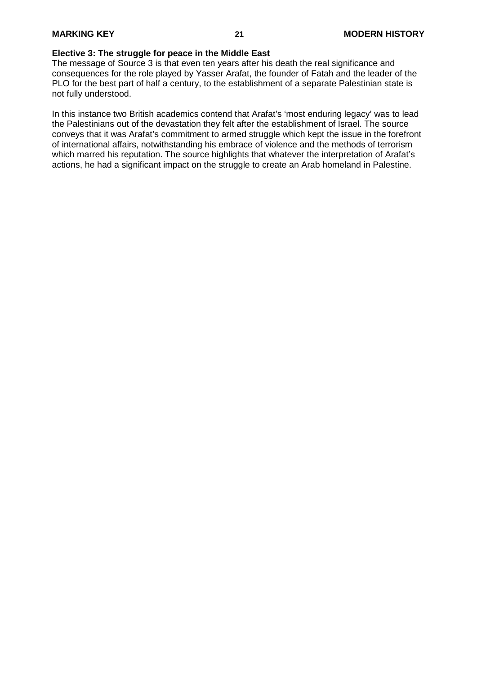#### **Elective 3: The struggle for peace in the Middle East**

The message of Source 3 is that even ten years after his death the real significance and consequences for the role played by Yasser Arafat, the founder of Fatah and the leader of the PLO for the best part of half a century, to the establishment of a separate Palestinian state is not fully understood.

In this instance two British academics contend that Arafat's 'most enduring legacy' was to lead the Palestinians out of the devastation they felt after the establishment of Israel. The source conveys that it was Arafat's commitment to armed struggle which kept the issue in the forefront of international affairs, notwithstanding his embrace of violence and the methods of terrorism which marred his reputation. The source highlights that whatever the interpretation of Arafat's actions, he had a significant impact on the struggle to create an Arab homeland in Palestine.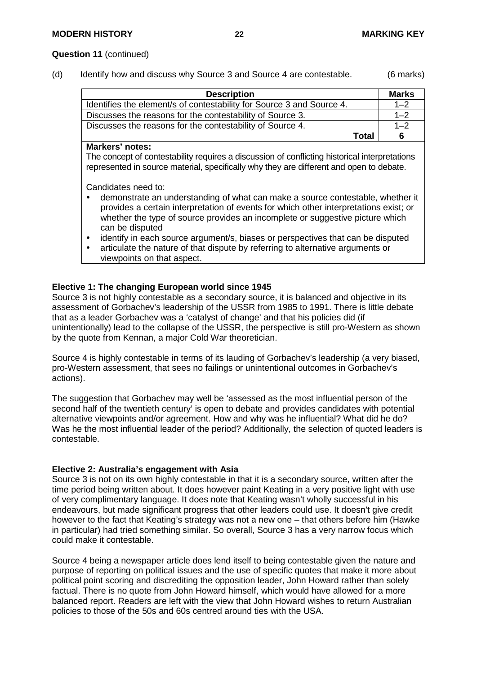#### **Question 11** (continued)

(d) Identify how and discuss why Source 3 and Source 4 are contestable. (6 marks)

| <b>Description</b>                                                    | <b>Marks</b> |
|-----------------------------------------------------------------------|--------------|
| Identifies the element/s of contestability for Source 3 and Source 4. | $1 - 2$      |
| Discusses the reasons for the contestability of Source 3.             | $1 - 2$      |
| Discusses the reasons for the contestability of Source 4.             | $1 - 2$      |
| Total                                                                 | 6            |

#### **Markers' notes:**

The concept of contestability requires a discussion of conflicting historical interpretations represented in source material, specifically why they are different and open to debate.

Candidates need to:

- demonstrate an understanding of what can make a source contestable, whether it provides a certain interpretation of events for which other interpretations exist; or whether the type of source provides an incomplete or suggestive picture which can be disputed
- identify in each source argument/s, biases or perspectives that can be disputed
- articulate the nature of that dispute by referring to alternative arguments or viewpoints on that aspect.

#### **Elective 1: The changing European world since 1945**

Source 3 is not highly contestable as a secondary source, it is balanced and objective in its assessment of Gorbachev's leadership of the USSR from 1985 to 1991. There is little debate that as a leader Gorbachev was a 'catalyst of change' and that his policies did (if unintentionally) lead to the collapse of the USSR, the perspective is still pro-Western as shown by the quote from Kennan, a major Cold War theoretician.

Source 4 is highly contestable in terms of its lauding of Gorbachev's leadership (a very biased, pro-Western assessment, that sees no failings or unintentional outcomes in Gorbachev's actions).

The suggestion that Gorbachev may well be 'assessed as the most influential person of the second half of the twentieth century' is open to debate and provides candidates with potential alternative viewpoints and/or agreement. How and why was he influential? What did he do? Was he the most influential leader of the period? Additionally, the selection of quoted leaders is contestable.

#### **Elective 2: Australia's engagement with Asia**

Source 3 is not on its own highly contestable in that it is a secondary source, written after the time period being written about. It does however paint Keating in a very positive light with use of very complimentary language. It does note that Keating wasn't wholly successful in his endeavours, but made significant progress that other leaders could use. It doesn't give credit however to the fact that Keating's strategy was not a new one – that others before him (Hawke in particular) had tried something similar. So overall, Source 3 has a very narrow focus which could make it contestable.

Source 4 being a newspaper article does lend itself to being contestable given the nature and purpose of reporting on political issues and the use of specific quotes that make it more about political point scoring and discrediting the opposition leader, John Howard rather than solely factual. There is no quote from John Howard himself, which would have allowed for a more balanced report. Readers are left with the view that John Howard wishes to return Australian policies to those of the 50s and 60s centred around ties with the USA.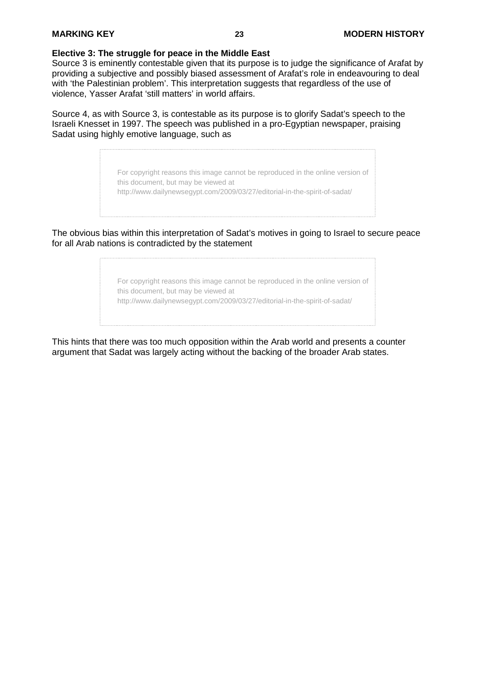#### **Elective 3: The struggle for peace in the Middle East**

Source 3 is eminently contestable given that its purpose is to judge the significance of Arafat by providing a subjective and possibly biased assessment of Arafat's role in endeavouring to deal with 'the Palestinian problem'. This interpretation suggests that regardless of the use of violence, Yasser Arafat 'still matters' in world affairs.

Source 4, as with Source 3, is contestable as its purpose is to glorify Sadat's speech to the Israeli Knesset in 1997. The speech was published in a pro-Egyptian newspaper, praising Sadat using highly emotive language, such as

> For copyright reasons this image cannot be reproduced in the online version of this document, but may be viewed at http://www.dailynewsegypt.com/2009/03/27/editorial-in-the-spirit-of-sadat/

The obvious bias within this interpretation of Sadat's motives in going to Israel to secure peace for all Arab nations is contradicted by the statement

> For copyright reasons this image cannot be reproduced in the online version of this document, but may be viewed at http://www.dailynewsegypt.com/2009/03/27/editorial-in-the-spirit-of-sadat/

This hints that there was too much opposition within the Arab world and presents a counter argument that Sadat was largely acting without the backing of the broader Arab states.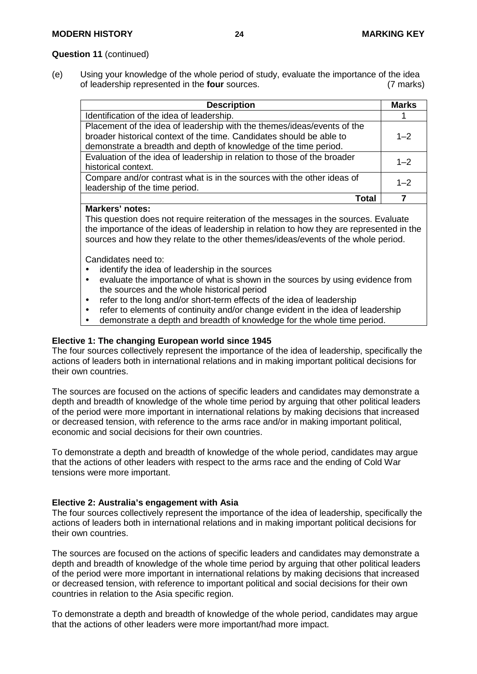### **Question 11** (continued)

(e) Using your knowledge of the whole period of study, evaluate the importance of the idea<br>of leadership represented in the **four** sources. (7 marks) of leadership represented in the **four** sources.

| <b>Description</b>                                                                                                                                                                                                  | <b>Marks</b> |
|---------------------------------------------------------------------------------------------------------------------------------------------------------------------------------------------------------------------|--------------|
| Identification of the idea of leadership.                                                                                                                                                                           |              |
| Placement of the idea of leadership with the themes/ideas/events of the<br>broader historical context of the time. Candidates should be able to<br>demonstrate a breadth and depth of knowledge of the time period. | $1 - 2$      |
| Evaluation of the idea of leadership in relation to those of the broader<br>historical context.                                                                                                                     | $1 - 2$      |
| Compare and/or contrast what is in the sources with the other ideas of<br>leadership of the time period.                                                                                                            | $1 - 2$      |
| ntal                                                                                                                                                                                                                |              |

### **Markers' notes:**

This question does not require reiteration of the messages in the sources. Evaluate the importance of the ideas of leadership in relation to how they are represented in the sources and how they relate to the other themes/ideas/events of the whole period.

Candidates need to:

- identify the idea of leadership in the sources<br>• evaluate the importance of what is shown in
- evaluate the importance of what is shown in the sources by using evidence from the sources and the whole historical period
- refer to the long and/or short-term effects of the idea of leadership
- refer to elements of continuity and/or change evident in the idea of leadership
- demonstrate a depth and breadth of knowledge for the whole time period.

#### **Elective 1: The changing European world since 1945**

The four sources collectively represent the importance of the idea of leadership, specifically the actions of leaders both in international relations and in making important political decisions for their own countries.

The sources are focused on the actions of specific leaders and candidates may demonstrate a depth and breadth of knowledge of the whole time period by arguing that other political leaders of the period were more important in international relations by making decisions that increased or decreased tension, with reference to the arms race and/or in making important political, economic and social decisions for their own countries.

To demonstrate a depth and breadth of knowledge of the whole period, candidates may argue that the actions of other leaders with respect to the arms race and the ending of Cold War tensions were more important.

### **Elective 2: Australia's engagement with Asia**

The four sources collectively represent the importance of the idea of leadership, specifically the actions of leaders both in international relations and in making important political decisions for their own countries.

The sources are focused on the actions of specific leaders and candidates may demonstrate a depth and breadth of knowledge of the whole time period by arguing that other political leaders of the period were more important in international relations by making decisions that increased or decreased tension, with reference to important political and social decisions for their own countries in relation to the Asia specific region.

To demonstrate a depth and breadth of knowledge of the whole period, candidates may argue that the actions of other leaders were more important/had more impact.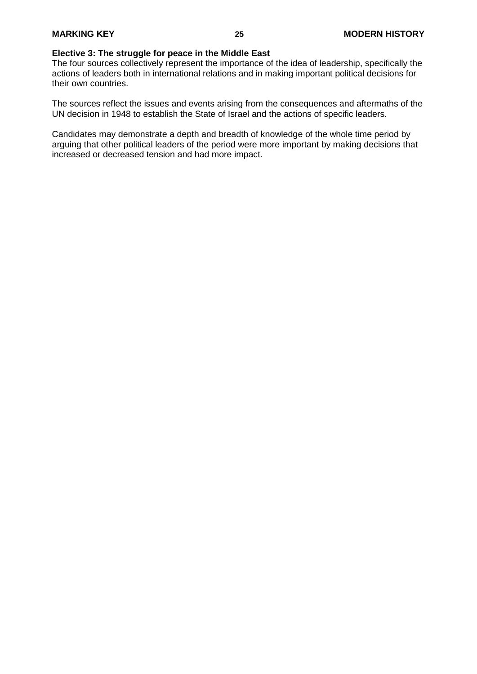### **Elective 3: The struggle for peace in the Middle East**

The four sources collectively represent the importance of the idea of leadership, specifically the actions of leaders both in international relations and in making important political decisions for their own countries.

The sources reflect the issues and events arising from the consequences and aftermaths of the UN decision in 1948 to establish the State of Israel and the actions of specific leaders.

Candidates may demonstrate a depth and breadth of knowledge of the whole time period by arguing that other political leaders of the period were more important by making decisions that increased or decreased tension and had more impact.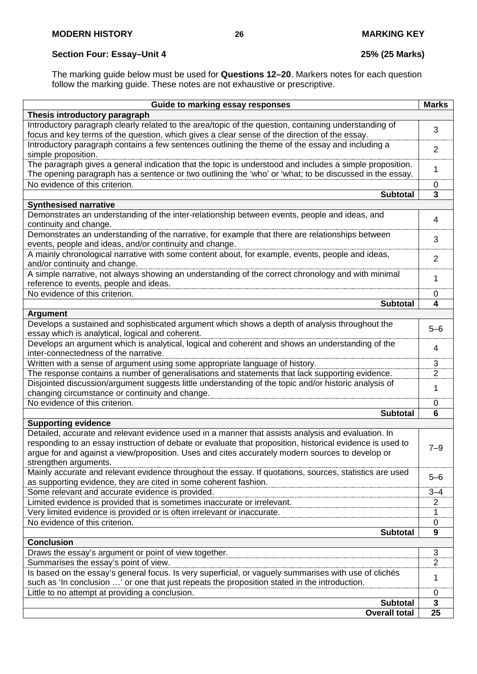# **Section Four: Essay–Unit 4 25% (25 Marks)**

The marking guide below must be used for **Questions 12–20**. Markers notes for each question follow the marking guide. These notes are not exhaustive or prescriptive.

| Guide to marking essay responses                                                                          | <b>Marks</b>            |
|-----------------------------------------------------------------------------------------------------------|-------------------------|
| Thesis introductory paragraph                                                                             |                         |
| Introductory paragraph clearly related to the area/topic of the question, containing understanding of     |                         |
| focus and key terms of the question, which gives a clear sense of the direction of the essay.             | 3                       |
| Introductory paragraph contains a few sentences outlining the theme of the essay and including a          |                         |
| simple proposition.                                                                                       | $\overline{2}$          |
| The paragraph gives a general indication that the topic is understood and includes a simple proposition.  |                         |
| The opening paragraph has a sentence or two outlining the 'who' or 'what; to be discussed in the essay.   | 1                       |
| No evidence of this criterion.                                                                            | 0                       |
| <b>Subtotal</b>                                                                                           | $\overline{\mathbf{3}}$ |
| <b>Synthesised narrative</b>                                                                              |                         |
| Demonstrates an understanding of the inter-relationship between events, people and ideas, and             |                         |
| continuity and change.                                                                                    | 4                       |
| Demonstrates an understanding of the narrative, for example that there are relationships between          |                         |
| events, people and ideas, and/or continuity and change.                                                   | 3                       |
| A mainly chronological narrative with some content about, for example, events, people and ideas,          |                         |
| and/or continuity and change.                                                                             | $\overline{2}$          |
| A simple narrative, not always showing an understanding of the correct chronology and with minimal        |                         |
| reference to events, people and ideas.                                                                    | 1                       |
| No evidence of this criterion.                                                                            | 0                       |
| <b>Subtotal</b>                                                                                           | 4                       |
| <b>Argument</b>                                                                                           |                         |
| Develops a sustained and sophisticated argument which shows a depth of analysis throughout the            | $5 - 6$                 |
| essay which is analytical, logical and coherent.                                                          |                         |
| Develops an argument which is analytical, logical and coherent and shows an understanding of the          | $\overline{4}$          |
| inter-connectedness of the narrative.                                                                     |                         |
| Written with a sense of argument using some appropriate language of history.                              | $\overline{3}$          |
| The response contains a number of generalisations and statements that lack supporting evidence.           | $\overline{2}$          |
| Disjointed discussion/argument suggests little understanding of the topic and/or historic analysis of     | 1                       |
| changing circumstance or continuity and change.                                                           |                         |
| No evidence of this criterion.                                                                            | 0                       |
| <b>Subtotal</b>                                                                                           | 6                       |
| <b>Supporting evidence</b>                                                                                |                         |
| Detailed, accurate and relevant evidence used in a manner that assists analysis and evaluation. In        |                         |
| responding to an essay instruction of debate or evaluate that proposition, historical evidence is used to | $7 - 9$                 |
| argue for and against a view/proposition. Uses and cites accurately modern sources to develop or          |                         |
| strengthen arguments.                                                                                     |                         |
| Mainly accurate and relevant evidence throughout the essay. If quotations, sources, statistics are used   | $5 - 6$                 |
| as supporting evidence, they are cited in some coherent fashion.                                          |                         |
| Some relevant and accurate evidence is provided.                                                          | $3 - 4$                 |
| Limited evidence is provided that is sometimes inaccurate or irrelevant.                                  | 2                       |
| Very limited evidence is provided or is often irrelevant or inaccurate.                                   | 1                       |
| No evidence of this criterion.                                                                            | 0                       |
| <b>Subtotal</b>                                                                                           | 9                       |
| <b>Conclusion</b>                                                                                         |                         |
| Draws the essay's argument or point of view together.                                                     | 3                       |
| Summarises the essay's point of view.                                                                     | $\overline{2}$          |
| Is based on the essay's general focus. Is very superficial, or vaguely summarises with use of clichés     | 1                       |
| such as 'In conclusion ' or one that just repeats the proposition stated in the introduction.             |                         |
| Little to no attempt at providing a conclusion.                                                           | 0                       |
| <b>Subtotal</b>                                                                                           | $\mathbf{3}$            |
| <b>Overall total</b>                                                                                      | 25                      |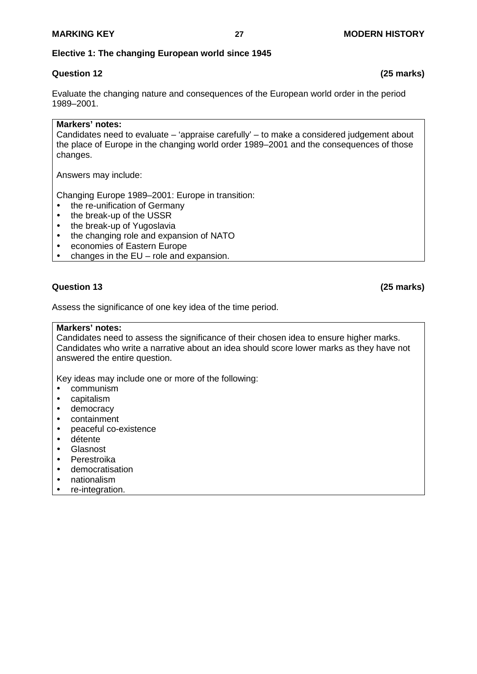## **Elective 1: The changing European world since 1945**

# **Question 12 (25 marks)**

Evaluate the changing nature and consequences of the European world order in the period 1989–2001.

### **Markers' notes:**

Candidates need to evaluate – 'appraise carefully' – to make a considered judgement about the place of Europe in the changing world order 1989–2001 and the consequences of those changes.

Answers may include:

Changing Europe 1989–2001: Europe in transition:

- the re-unification of Germany
- the break-up of the USSR<br>• the break-up of Yugoslavia
- the break-up of Yugoslavia
- the changing role and expansion of NATO
- economies of Eastern Europe
- changes in the EU role and expansion.

# **Question 13 (25 marks)**

Assess the significance of one key idea of the time period.

#### **Markers' notes:**

Candidates need to assess the significance of their chosen idea to ensure higher marks. Candidates who write a narrative about an idea should score lower marks as they have not answered the entire question.

Key ideas may include one or more of the following:

- communism
- capitalism
- democracy
- containment
- peaceful co-existence
- détente
- Glasnost
- Perestroika
- democratisation
- nationalism
- re-integration.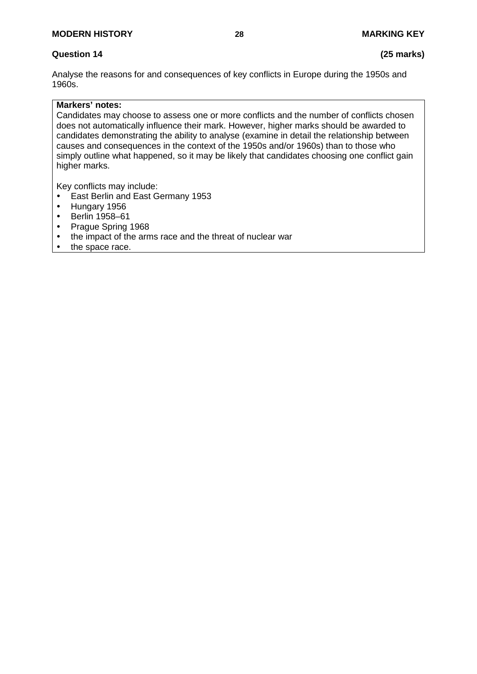Analyse the reasons for and consequences of key conflicts in Europe during the 1950s and 1960s.

### **Markers' notes:**

Candidates may choose to assess one or more conflicts and the number of conflicts chosen does not automatically influence their mark. However, higher marks should be awarded to candidates demonstrating the ability to analyse (examine in detail the relationship between causes and consequences in the context of the 1950s and/or 1960s) than to those who simply outline what happened, so it may be likely that candidates choosing one conflict gain higher marks.

Key conflicts may include:

- East Berlin and East Germany 1953
- Hungary 1956<br>• Berlin 1958–61
- Berlin 1958–61
- Prague Spring 1968
- the impact of the arms race and the threat of nuclear war
- the space race.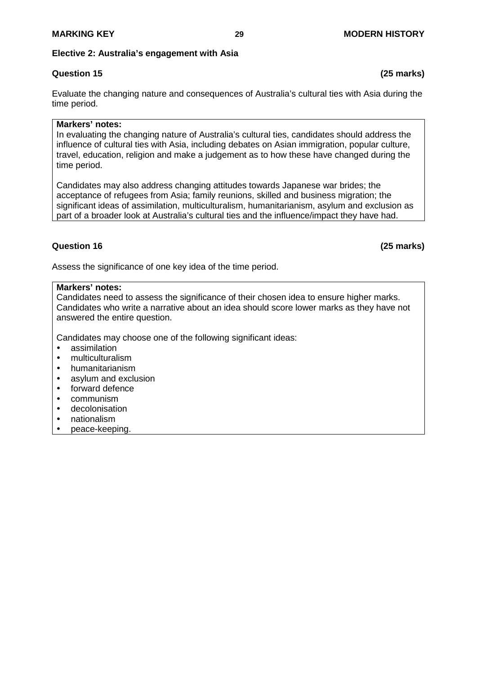#### **Elective 2: Australia's engagement with Asia**

# **Question 15 (25 marks)**

Evaluate the changing nature and consequences of Australia's cultural ties with Asia during the time period.

### **Markers' notes:**

In evaluating the changing nature of Australia's cultural ties, candidates should address the influence of cultural ties with Asia, including debates on Asian immigration, popular culture, travel, education, religion and make a judgement as to how these have changed during the time period.

Candidates may also address changing attitudes towards Japanese war brides; the acceptance of refugees from Asia; family reunions, skilled and business migration; the significant ideas of assimilation, multiculturalism, humanitarianism, asylum and exclusion as part of a broader look at Australia's cultural ties and the influence/impact they have had.

Assess the significance of one key idea of the time period.

#### **Markers' notes:**

Candidates need to assess the significance of their chosen idea to ensure higher marks. Candidates who write a narrative about an idea should score lower marks as they have not answered the entire question.

Candidates may choose one of the following significant ideas:

- assimilation
- multiculturalism
- humanitarianism
- asylum and exclusion
- forward defence
- communism
- decolonisation
- nationalism
- peace-keeping.

**Question 16 (25 marks)**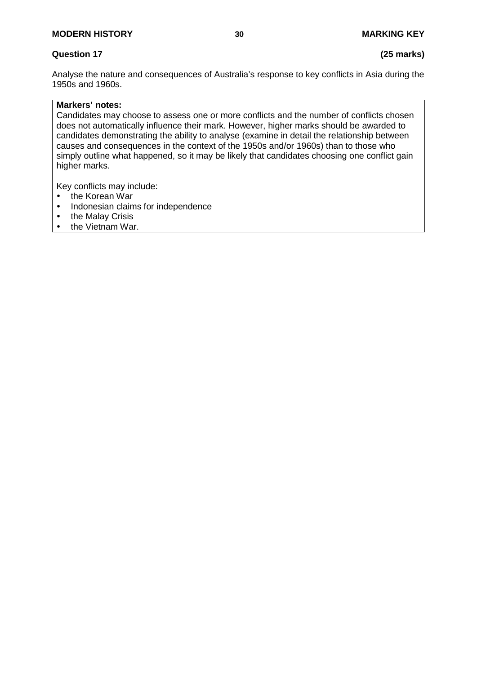# **Question 17 (25 marks)**

Analyse the nature and consequences of Australia's response to key conflicts in Asia during the 1950s and 1960s.

# **Markers' notes:**

Candidates may choose to assess one or more conflicts and the number of conflicts chosen does not automatically influence their mark. However, higher marks should be awarded to candidates demonstrating the ability to analyse (examine in detail the relationship between causes and consequences in the context of the 1950s and/or 1960s) than to those who simply outline what happened, so it may be likely that candidates choosing one conflict gain higher marks.

Key conflicts may include:

- the Korean War
- Indonesian claims for independence<br>• the Malay Crisis
- the Malay Crisis<br>• the Vietnam War
- the Vietnam War.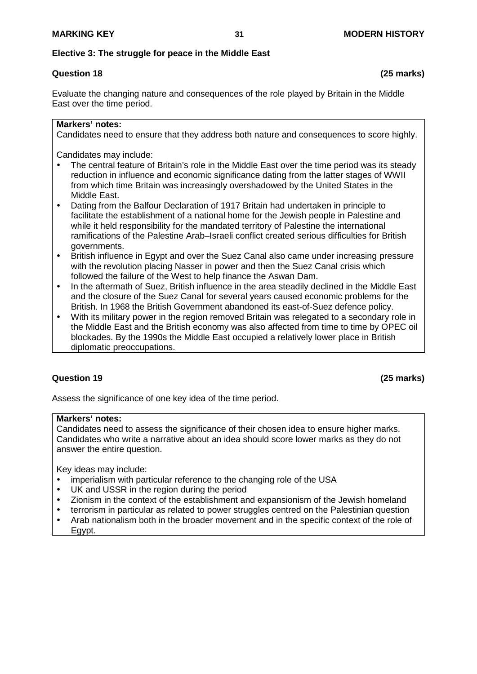### **Elective 3: The struggle for peace in the Middle East**

# **Question 18 (25 marks)**

Evaluate the changing nature and consequences of the role played by Britain in the Middle East over the time period.

### **Markers' notes:**

Candidates need to ensure that they address both nature and consequences to score highly.

Candidates may include:

- The central feature of Britain's role in the Middle East over the time period was its steady reduction in influence and economic significance dating from the latter stages of WWII from which time Britain was increasingly overshadowed by the United States in the Middle East.
- Dating from the Balfour Declaration of 1917 Britain had undertaken in principle to facilitate the establishment of a national home for the Jewish people in Palestine and while it held responsibility for the mandated territory of Palestine the international ramifications of the Palestine Arab–Israeli conflict created serious difficulties for British governments.
- British influence in Egypt and over the Suez Canal also came under increasing pressure with the revolution placing Nasser in power and then the Suez Canal crisis which followed the failure of the West to help finance the Aswan Dam.
- In the aftermath of Suez, British influence in the area steadily declined in the Middle East and the closure of the Suez Canal for several years caused economic problems for the British. In 1968 the British Government abandoned its east-of-Suez defence policy.
- With its military power in the region removed Britain was relegated to a secondary role in the Middle East and the British economy was also affected from time to time by OPEC oil blockades. By the 1990s the Middle East occupied a relatively lower place in British diplomatic preoccupations.

# **Question 19 (25 marks)**

Assess the significance of one key idea of the time period.

### **Markers' notes:**

Candidates need to assess the significance of their chosen idea to ensure higher marks. Candidates who write a narrative about an idea should score lower marks as they do not answer the entire question.

Key ideas may include:

- imperialism with particular reference to the changing role of the USA
- UK and USSR in the region during the period
- Zionism in the context of the establishment and expansionism of the Jewish homeland
- terrorism in particular as related to power struggles centred on the Palestinian question
- Arab nationalism both in the broader movement and in the specific context of the role of Egypt.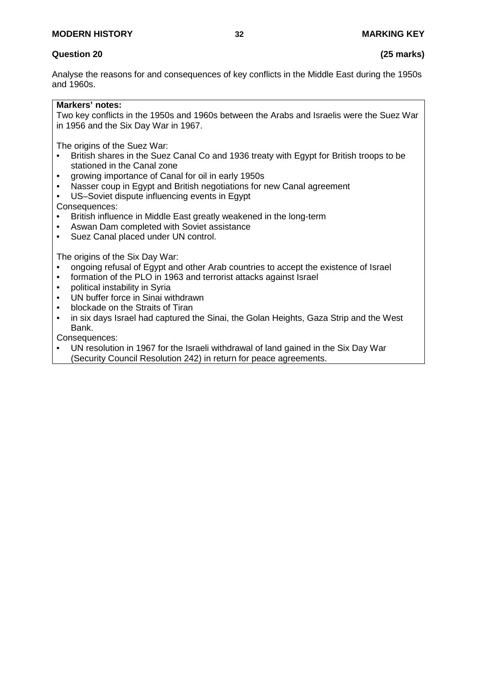# **Question 20 (25 marks)**

Analyse the reasons for and consequences of key conflicts in the Middle East during the 1950s and 1960s.

### **Markers' notes:**

Two key conflicts in the 1950s and 1960s between the Arabs and Israelis were the Suez War in 1956 and the Six Day War in 1967.

The origins of the Suez War:<br>• British shares in the Suez

- British shares in the Suez Canal Co and 1936 treaty with Egypt for British troops to be stationed in the Canal zone
- growing importance of Canal for oil in early 1950s
- Nasser coup in Egypt and British negotiations for new Canal agreement
- US-Soviet dispute influencing events in Egypt

Consequences:

- British influence in Middle East greatly weakened in the long-term
- Aswan Dam completed with Soviet assistance<br>• Suez Canal placed under UN control.
- Suez Canal placed under UN control.

The origins of the Six Day War:

- ongoing refusal of Egypt and other Arab countries to accept the existence of Israel
- formation of the PLO in 1963 and terrorist attacks against Israel
- political instability in Syria
- UN buffer force in Sinai withdrawn
- blockade on the Straits of Tiran
- in six days Israel had captured the Sinai, the Golan Heights, Gaza Strip and the West Bank.

Consequences:

• UN resolution in 1967 for the Israeli withdrawal of land gained in the Six Day War (Security Council Resolution 242) in return for peace agreements.